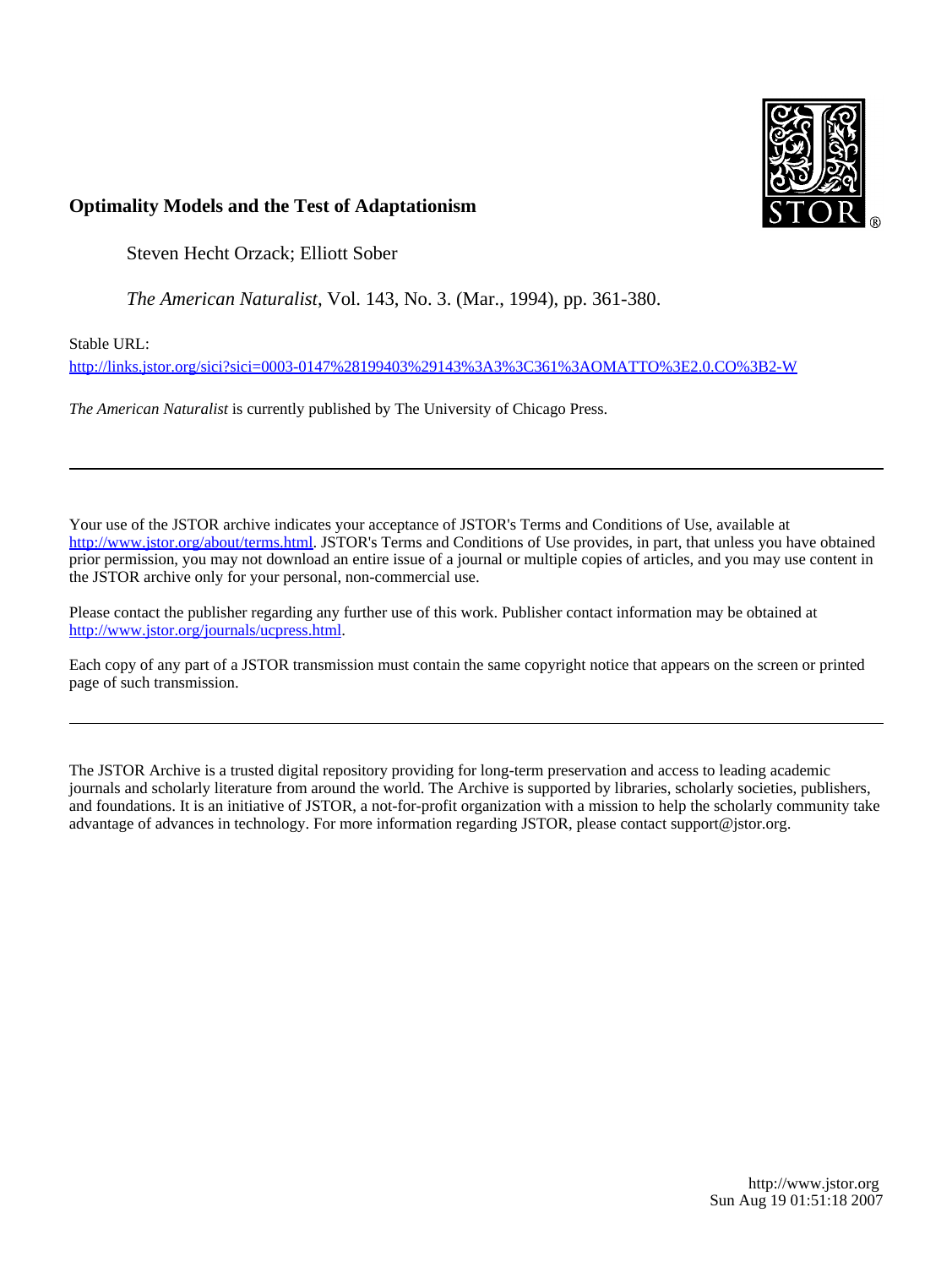

# **Optimality Models and the Test of Adaptationism**

Steven Hecht Orzack; Elliott Sober

*The American Naturalist*, Vol. 143, No. 3. (Mar., 1994), pp. 361-380.

Stable URL:

<http://links.jstor.org/sici?sici=0003-0147%28199403%29143%3A3%3C361%3AOMATTO%3E2.0.CO%3B2-W>

*The American Naturalist* is currently published by The University of Chicago Press.

Your use of the JSTOR archive indicates your acceptance of JSTOR's Terms and Conditions of Use, available at [http://www.jstor.org/about/terms.html.](http://www.jstor.org/about/terms.html) JSTOR's Terms and Conditions of Use provides, in part, that unless you have obtained prior permission, you may not download an entire issue of a journal or multiple copies of articles, and you may use content in the JSTOR archive only for your personal, non-commercial use.

Please contact the publisher regarding any further use of this work. Publisher contact information may be obtained at <http://www.jstor.org/journals/ucpress.html>.

Each copy of any part of a JSTOR transmission must contain the same copyright notice that appears on the screen or printed page of such transmission.

The JSTOR Archive is a trusted digital repository providing for long-term preservation and access to leading academic journals and scholarly literature from around the world. The Archive is supported by libraries, scholarly societies, publishers, and foundations. It is an initiative of JSTOR, a not-for-profit organization with a mission to help the scholarly community take advantage of advances in technology. For more information regarding JSTOR, please contact support@jstor.org.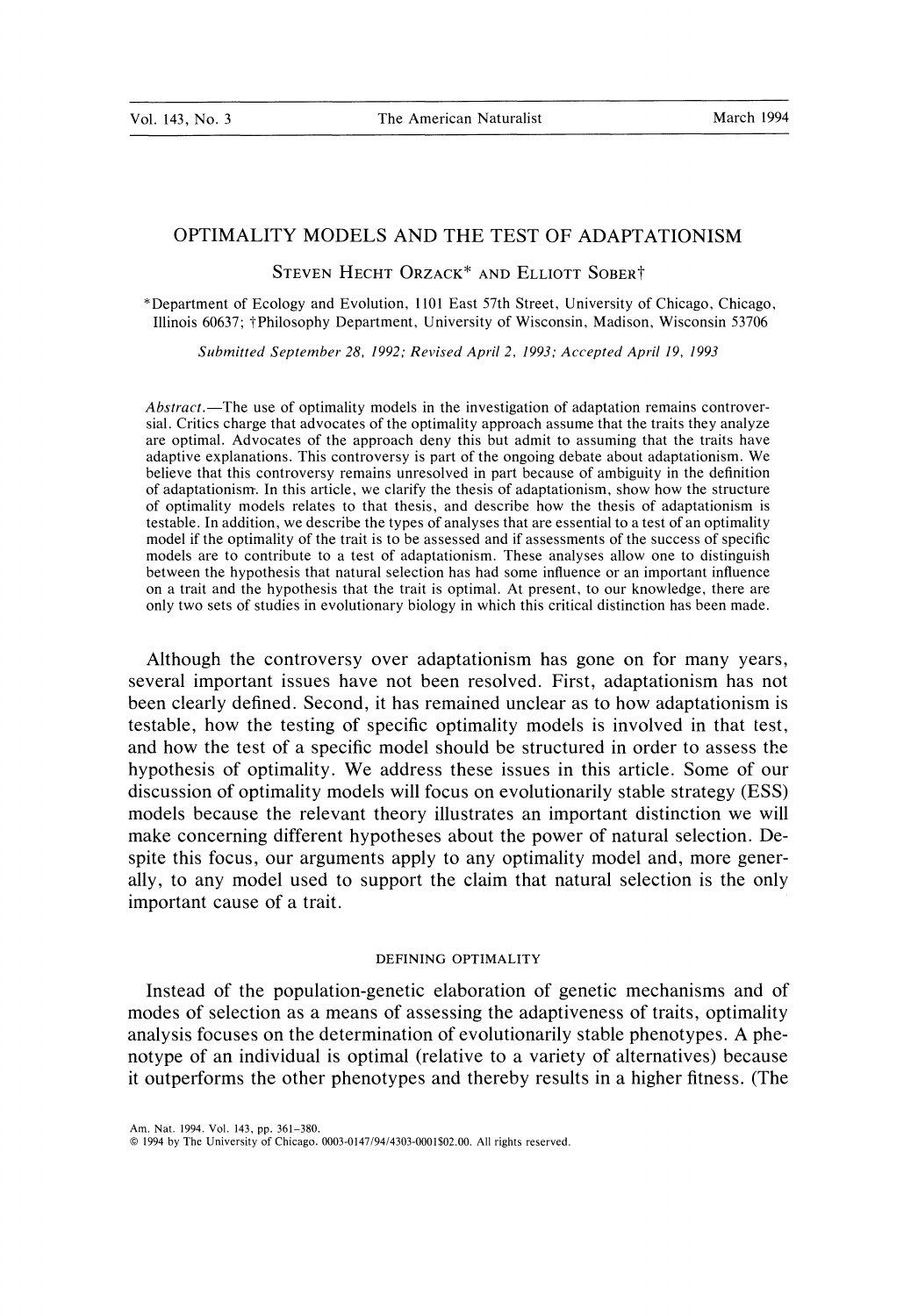--

# OPTIMALITY MODELS AND THE TEST OF ADAPTATIONISM

STEVEN HECHT ORZACK\* AND ELLIOTT SOBERT

"Department of Ecology and Evolution, 1101 East 57th Street, University of Chicago. Chicago. Illinois 60637: +Philosophy Department. University of Wisconsin. Madison. Wisconsin 53706

Sltbrnitted September *28, 1992;* Revised April *2, 1993;* Accepted April *19, 1993* 

Abstract.—The use of optimality models in the investigation of adaptation remains controversial. Critics charge that advocates of the optimality approach assume that the traits they analyze are optimal. Advocates of the approach deny this but admit to assuming that the traits have adaptive explanations. This controversy is part of the ongoing debate about adaptationism. We believe that this controversy remains unresolved in part because of ambiguity in the definition of adaptationism. In this article, we clarify the thesis of adaptationism, show how the structure of optimality models relates to that thesis, and describe how the thesis of adaptationism is testable. In addition, we describe the types of analyses that are essential to a test of an optimality model if the optimality of the trait is to be assessed and if assessments of the success of specific models are to contribute to a test of adaptationism. These analyses allow one to distinguish between the hypothesis that natural selection has had some influence or an important influence on a trait and the hypothesis that the trait is optimal. At present, to our knowledge, there are only two sets of studies in evolutionary biology in which this critical distinction has been made.

Although the controversy over adaptationism has gone on for many years, several important issues have not been resolved. First, adaptationism has not been clearly defined. Second, it has remained unclear as to how adaptationism is testable, how the testing of specific optimality models is involved in that test, and how the test of a specific model should be structured in order to assess the hypothesis of optimality. We address these issues in this article. Some of our discussion of optimality models will focus on evolutionarily stable strategy (ESS) models because the relevant theory illustrates an important distinction we will make concerning different hypotheses about the power of natural selection. Despite this focus, our arguments apply to any optimality model and, more generally, to any model used to support the claim that natural selection is the only important cause of a trait.

#### DEFINING OPTIMALITY

Instead of the population-genetic elaboration of genetic mechanisms and of modes of selection as a means of assessing the adaptiveness of traits, optimality analysis focuses on the determination of evolutionarily stable phenotypes. A phenotype of an individual is optimal (relative to a variety of alternatives) because it outperforms the other phenotypes and thereby results in a higher fitness. (The

Am. Nat. 1994. Vol. 143, pp. 361-380.

<sup>0 1994</sup> by The University of Chicago. 0003-0147/94/4303-0001\$02.00. All rights reserved.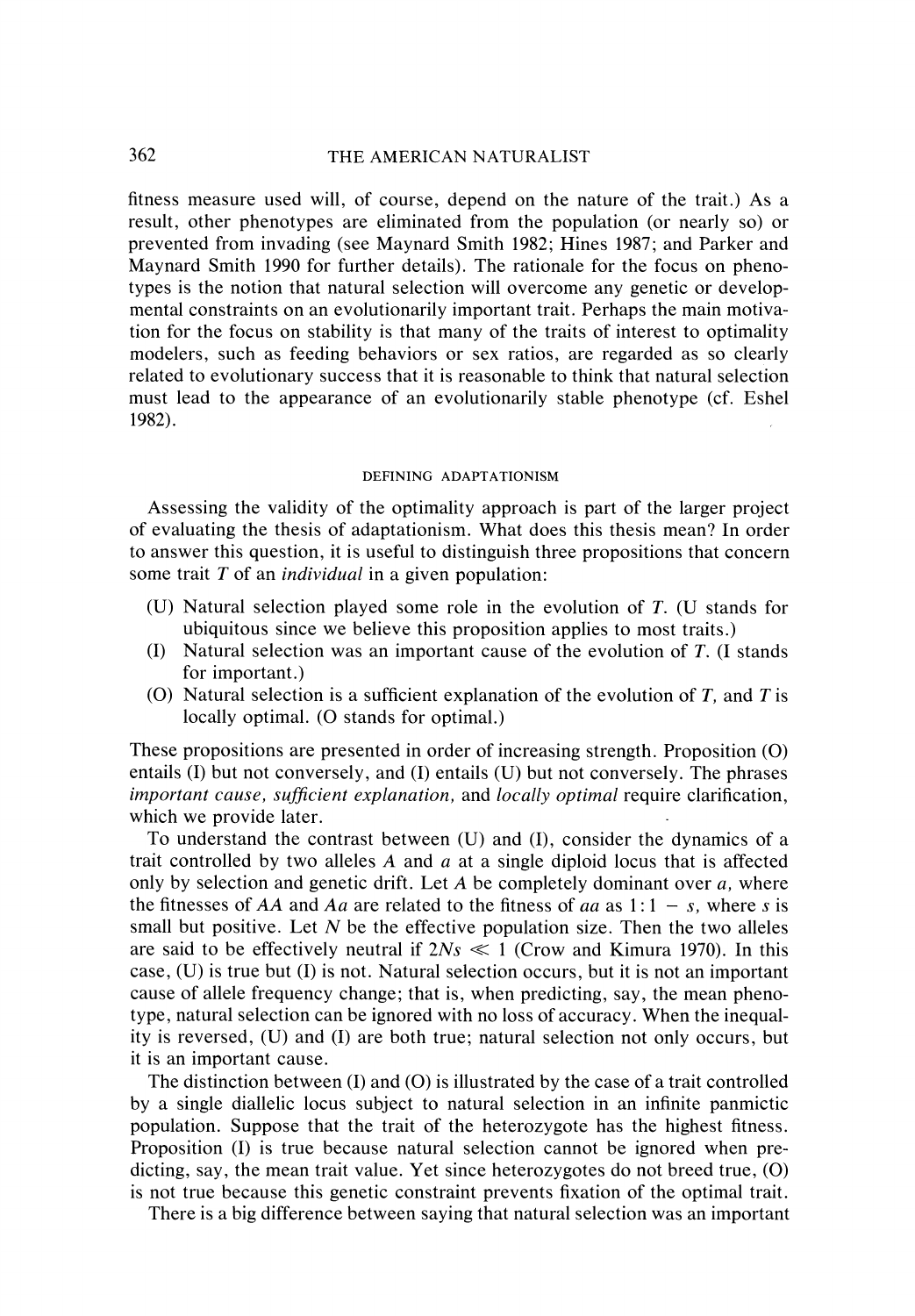362 THE AMERICAN NATURALIST

fitness measure used will, of course, depend on the nature of the trait.) As a result, other phenotypes are eliminated from the population (or nearly so) or prevented from invading (see Maynard Smith 1982; Hines 1987; and Parker and Maynard Smith 1990 for further details). The rationale for the focus on phenotypes is the notion that natural selection will overcome any genetic or developmental constraints on an evolutionarily important trait. Perhaps the main motivation for the focus on stability is that many of the traits of interest to optimality modelers, such as feeding behaviors or sex ratios, are regarded as so clearly related to evolutionary success that it is reasonable to think that natural selection must lead to the appearance of an evolutionarily stable phenotype (cf. Eshel 1982).

#### DEFINING ADAPTATIONISM

Assessing the validity of the optimality approach is part of the larger project of evaluating the thesis of adaptationism. What does this thesis mean? In order to answer this question, it is useful to distinguish three propositions that concern some trait T of an *individual* in a given population:

- (U) Natural selection played some role in the evolution of  $T$ . (U stands for ubiquitous since we believe this proposition applies to most traits.)
- (I) Natural selection was an important cause of the evolution of  $T$ . (I stands for important.)
- (O) Natural selection is a sufficient explanation of the evolution of  $T$ , and  $T$  is locally optimal. (O stands for optimal.)

These propositions are presented in order of increasing strength. Proposition (0) entails (I) but not conversely, and (I) entails (U) but not conversely. The phrases *important cause, sufficient explanation, and <i>locally optimal* require clarification, which we provide later.

To understand the contrast between (U) and (I), consider the dynamics of a trait controlled by two alleles A and *a* at a single diploid locus that is affected only by selection and genetic drift. Let *A* be completely dominant over *a,* where the fitnesses of AA and Aa are related to the fitness of aa as  $1:1 - s$ , where s is small but positive. Let  $N$  be the effective population size. Then the two alleles are said to be effectively neutral if  $2Ns \ll 1$  (Crow and Kimura 1970). In this case, (U) is true but (I) is not. Natural selection occurs, but it is not an important cause of allele frequency change; that is, when predicting, say, the mean phenotype, natural selection can be ignored with no loss of accuracy. When the inequality is reversed, (U) and (I) are both true; natural selection not only occurs, but it is an important cause.

The distinction between  $(I)$  and  $(O)$  is illustrated by the case of a trait controlled by a single diallelic locus subject to natural selection in an infinite panmictic population. Suppose that the trait of the heterozygote has the highest fitness. Proposition (I) is true because natural selection cannot be ignored when predicting, say, the mean trait value. Yet since heterozygotes do not breed true, (0) is not true because this genetic constraint prevents fixation of the optimal trait.

There is a big difference between saying that natural selection was an important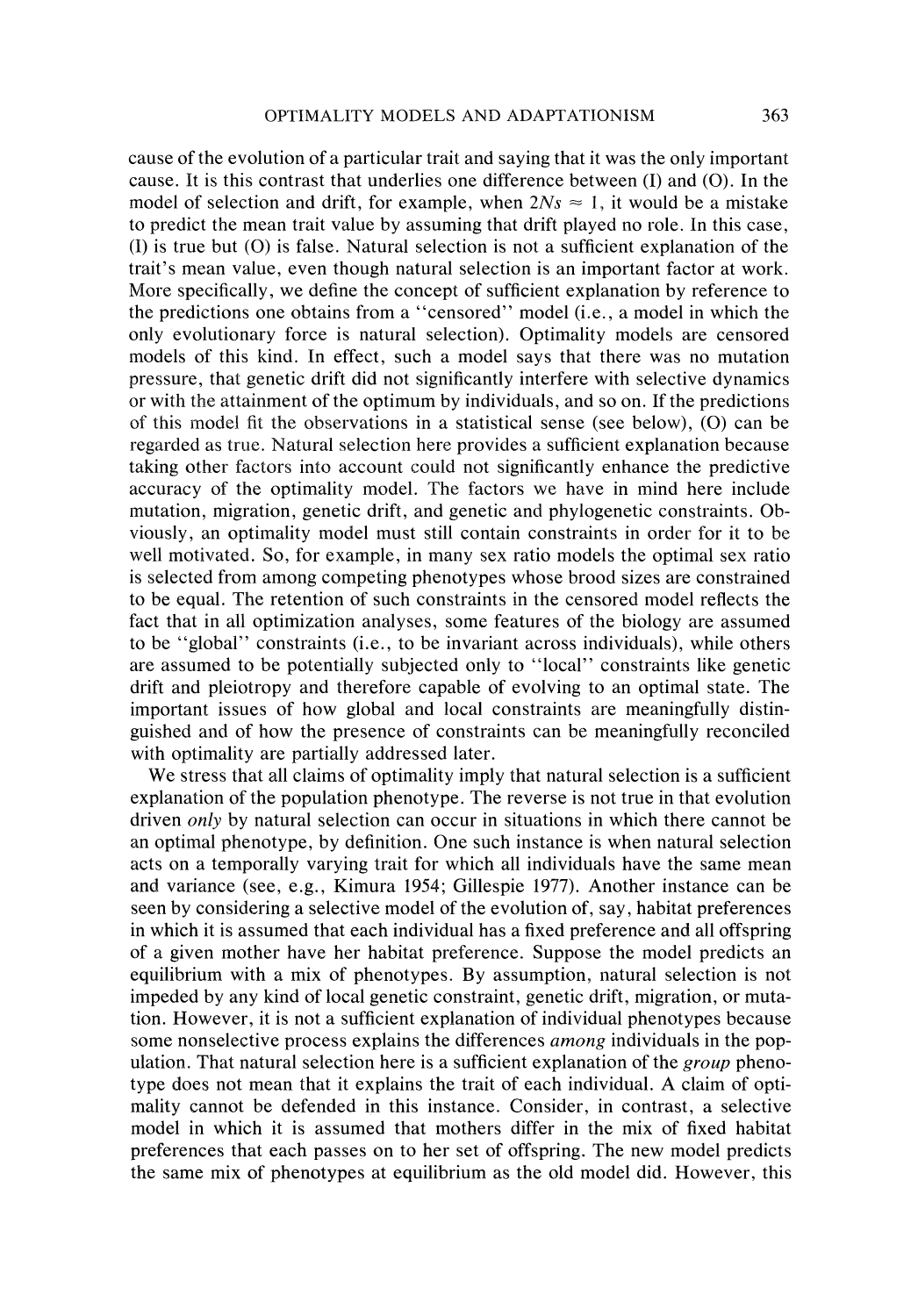cause of the evolution of a particular trait and saying that it was the only important cause. It is this contrast that underlies one difference between  $(I)$  and  $(O)$ . In the model of selection and drift, for example, when  $2Ns \approx 1$ , it would be a mistake to predict the mean trait value by assuming that drift played no role. In this case,  $(I)$  is true but  $(O)$  is false. Natural selection is not a sufficient explanation of the trait's mean value, even though natural selection is an important factor at work. More specifically, we define the concept of sufficient explanation by reference to the predictions one obtains from a "censored" model (i.e., a model in which the only evolutionary force is natural selection). Optimality models are censored models of this kind. In effect, such a model says that there was no mutation pressure, that genetic drift did not significantly interfere with selective dynamics or with the attainment of the optimum by individuals, and so on. If the predictions of this model fit the observations in a statistical sense (see below),  $(0)$  can be regarded as true. Natural selection here provides a sufficient explanation because taking other factors into account could not significantly enhance the predictive accuracy of the optimality model. The factors we have in mind here include mutation, migration, genetic drift, and genetic and phylogenetic constraints. Obviously, an optimality model must still contain constraints in order for it to be well motivated. So, for example, in many sex ratio models the optimal sex ratio is selected from among competing phenotypes whose brood sizes are constrained to be equal. The retention of such constraints in the censored model reflects the fact that in all optimization analyses, some features of the biology are assumed to be "global" constraints (i.e., to be invariant across individuals), while others are assumed to be potentially subjected only to "local" constraints like genetic drift and pleiotropy and therefore capable of evolving to an optimal state. The important issues of how global and local constraints are meaningfully distinguished and of how the presence of constraints can be meaningfully reconciled with optimality are partially addressed later.

We stress that all claims of optimality imply that natural selection is a sufficient explanation of the population phenotype. The reverse is not true in that evolution driven *only* by natural selection can occur in situations in which there cannot be an optimal phenotype, by definition. One such instance is when natural selection acts on a temporally varying trait for which all individuals have the same mean and variance (see, e.g., Kimura 1954; Glllespie 1977). Another instance can be seen by considering a selective model of the evolution of, say, habitat preferences in which it is assumed that each individual has a fixed preference and all offspring of a given rnother have her habitat preference. Suppose the model predicts an equilibrium with a mix of phenotypes. By assumption, natural selection is not impeded by any kind of local genetic constraint, genetic drift, migration, or mutation. However, it is not a sufficient explanation of individual phenotypes because some nonselective process explains the differences *among* individuals in the population. That natural selection here is a sufficient explanation of the *group* phenotype does not mean that it explains the trait of each individual. A claim of optimality cannot be defended in this instance. Consider, in contrast, a selective model in which it is assumed that mothers differ in the mix of fixed habitat preferences that each passes on to her set of offspring. The new model predicts the same mix of phenotypes at equilibrium as the old model did. However, this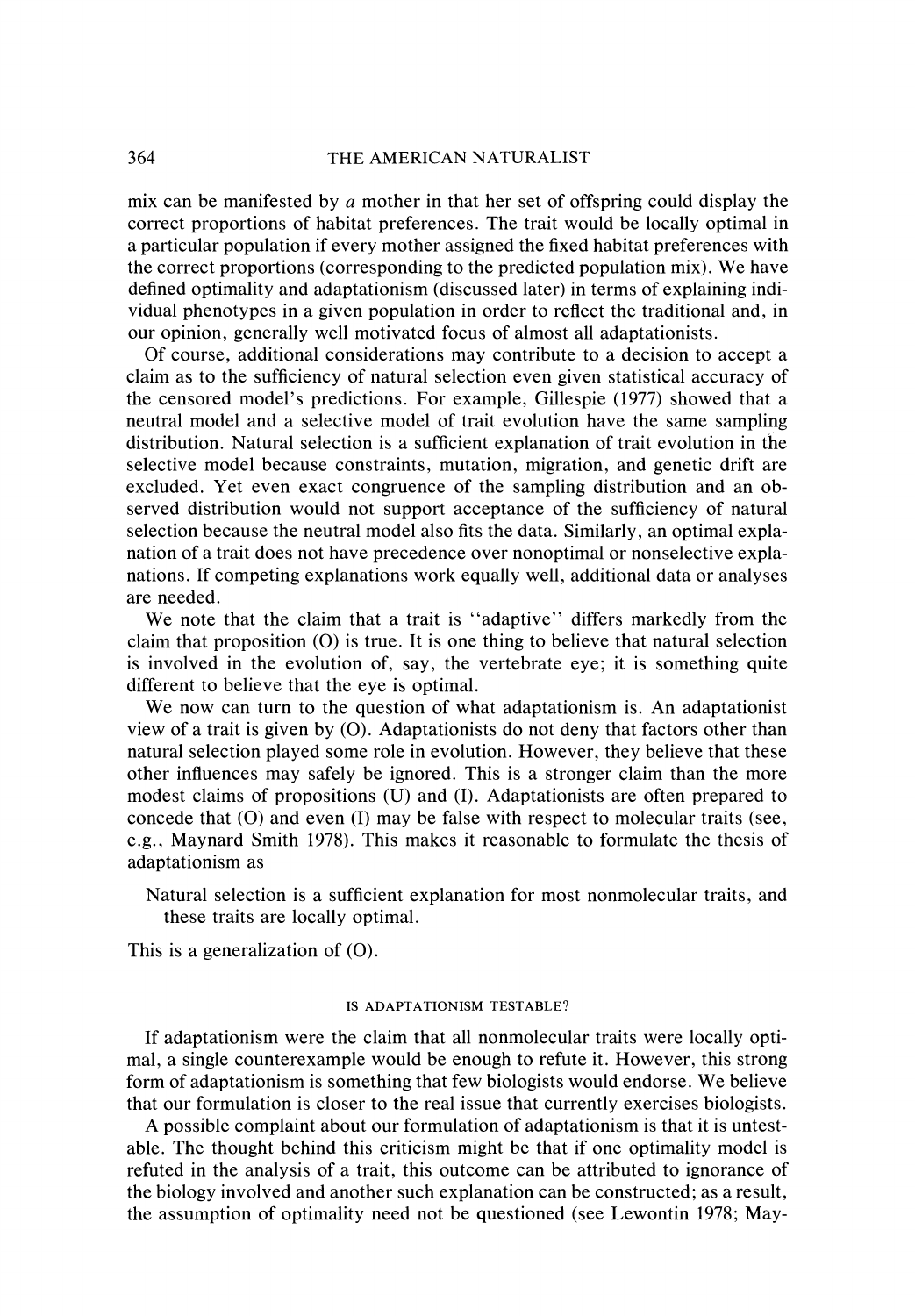mix can be manifested by  $a$  mother in that her set of offspring could display the correct proportions of habitat preferences. The trait would be locally optimal in a particular population if every mother assigned the fixed habitat preferences with the correct proportions (corresponding to the predicted population mix). We have defined optimality and adaptationism (discussed later) in terms of explaining individual phenotypes in a given population in order to reflect the traditional and, in our opinion, generally well motivated focus of almost all adaptationists.

Of course, additional considerations may contribute to a decision to accept a claim as to the sufficiency of natural selection even given statistical accuracy of the censored model's predictions. For example, Gillespie (1977) showed that a neutral model and a selective model of trait evolution have the same sampling distribution. Natural selection is a sufficient explanation of trait evolution in the selective model because constraints, mutation, migration, and genetic drift are excluded. Yet even exact congruence of the sampling distribution and an observed distribution would not support acceptance of the sufficiency of natural selection because the neutral model also fits the data. Similarly, an optimal explanation of a trait does not have precedence over nonoptimal or nonselective explanations. If competing explanations work equally well, additional data or analyses are needed.

We note that the claim that a trait is "adaptive" differs markedly from the claim that proposition (0) is true. It is one thing to believe that natural selection is involved in the evolution of, say, the vertebrate eye; it is something quite different to believe that the eye is optimal.

We now can turn to the question of what adaptationism is. An adaptationist view of a trait is given by (0). Adaptationists do not deny that factors other than natural selection played some role in evolution. However, they believe that these other influences may safely be ignored. This is a stronger claim than the more modest claims of propositions (U) and (I). Adaptationists are often prepared to concede that (0) and even (I) may be false with respect to molecular traits (see, e.g., Maynard Smith 1978). This makes it reasonable to formulate the thesis of adaptationism as

Natural selection is a sufficient explanation for most nonmolecular traits, and these traits are locally optimal.

This is a generalization of (0).

### IS ADAPTATIONISM TESTABLE?

If adaptationism were the claim that all nonmolecular traits were locally optimal, a single counterexample would be enough to refute it. However, this strong form of adaptationism is something that few biologists would endorse. We believe that our formulation is closer to the real issue that currently exercises biologists.

A possible complaint about our formulation of adaptationism is that it is untestable. The thought behind this criticism might be that if one optimality model is refuted in the analysis of a trait, this outcome can be attributed to ignorance of the biology involved and another such explanation can be constructed; as a result, the assumption of optimality need not be questioned (see Lewontin 1978; May-

364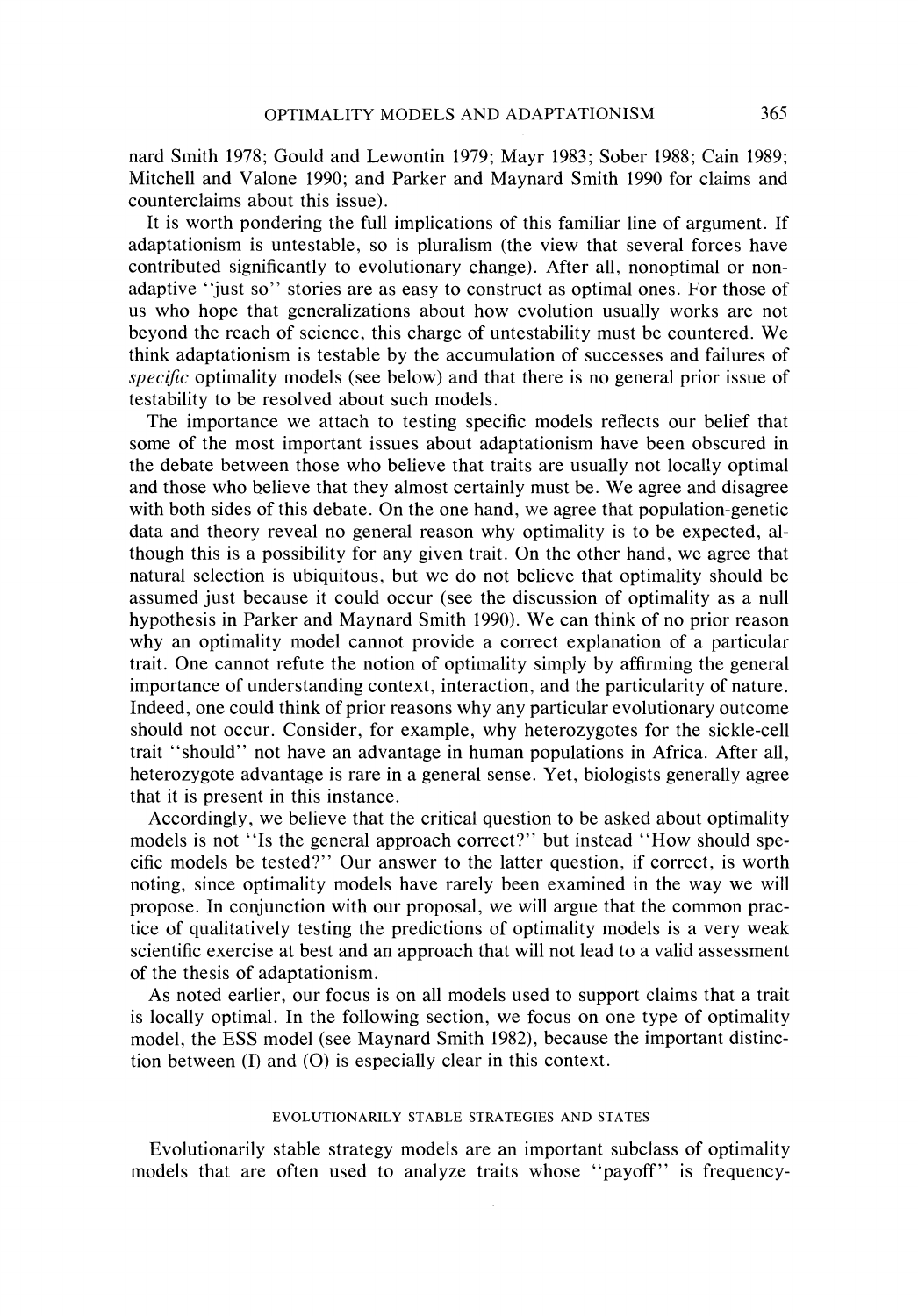nard Smith 1978; Gould and Lewontin 1979; Mayr 1983; Sober 1988; Cain 1989; Mitchell and Valone 1990; and Parker and Maynard Smith 1990 for claims and counterclaims about this issue).

It is worth pondering the full implications of this familiar line of argument. If adaptationism is untestable, so is pluralism (the view that several forces have contributed significantly to evolutionary change). After all, nonoptimal or nonadaptive "just so" stories are as easy to construct as optimal ones. For those of us who hope that generalizations about how evolution usually works are not beyond the reach of science, this charge of untestability must be countered. We think adaptationism is testable by the accumulation of successes and failures of *specific* optimality models (see below) and that there is no general prior issue of testability to be resolved about such models.

The importance we attach to testing specific models reflects our belief that some of the most important issues about adaptationism have been obscured in the debate between those who believe that traits are usually not locally optimal and those who believe that they almost certainly must be. We agree and disagree with both sides of this debate. On the one hand, we agree that population-genetic data and theory reveal no general reason why optimality is to be expected, although this is a possibility for any given trait. On the other hand, we agree that natural selection is ubiquitous, but we do not believe that optimality should be assumed just because it could occur (see the discussion of optimality as a null hypothesis in Parker and Maynard Smith 1990). We can think of no prior reason why an optimality model cannot provide a correct explanation of a particular trait. One cannot refute the notion of optimality simply by affirming the general importance of understanding context, interaction, and the particularity of nature. Indeed, one could think of prior reasons why any particular evolutionary outcome should not occur. Consider, for example, why heterozygotes for the sickle-cell trait "should" not have an advantage in human populations in Africa. After all, heterozygote advantage is rare in a general sense. Yet, biologists generally agree that it is present in this instance.

Accordingly, we believe that the critical question to be asked about optimality models is not "Is the general approach correct?" but instead "How should specific models be tested?" Our answer to the latter question, if correct. is worth noting, since optimality models have rarely been examined in the way we will propose. In conjunction with our proposal, we will argue that the common practice of qualitatively testing the predictions of optimality models is a very weak scientific exercise at best and an approach that will not lead to a valid assessment of the thesis of adaptationism.

As noted earlier, our focus is on all models used to support claims that a trait is locally optimal. In the following section, we focus on one type of optimality model, the ESS model (see Maynard Smith 1982), because the important distinction between  $(I)$  and  $(O)$  is especially clear in this context.

#### EVOLUTIONARILY STABLE STRATEGIES AND STATES

Evolutionarily stable strategy models are an important subclass of optimality models that are often used to analyze traits whose "payoff" is frequency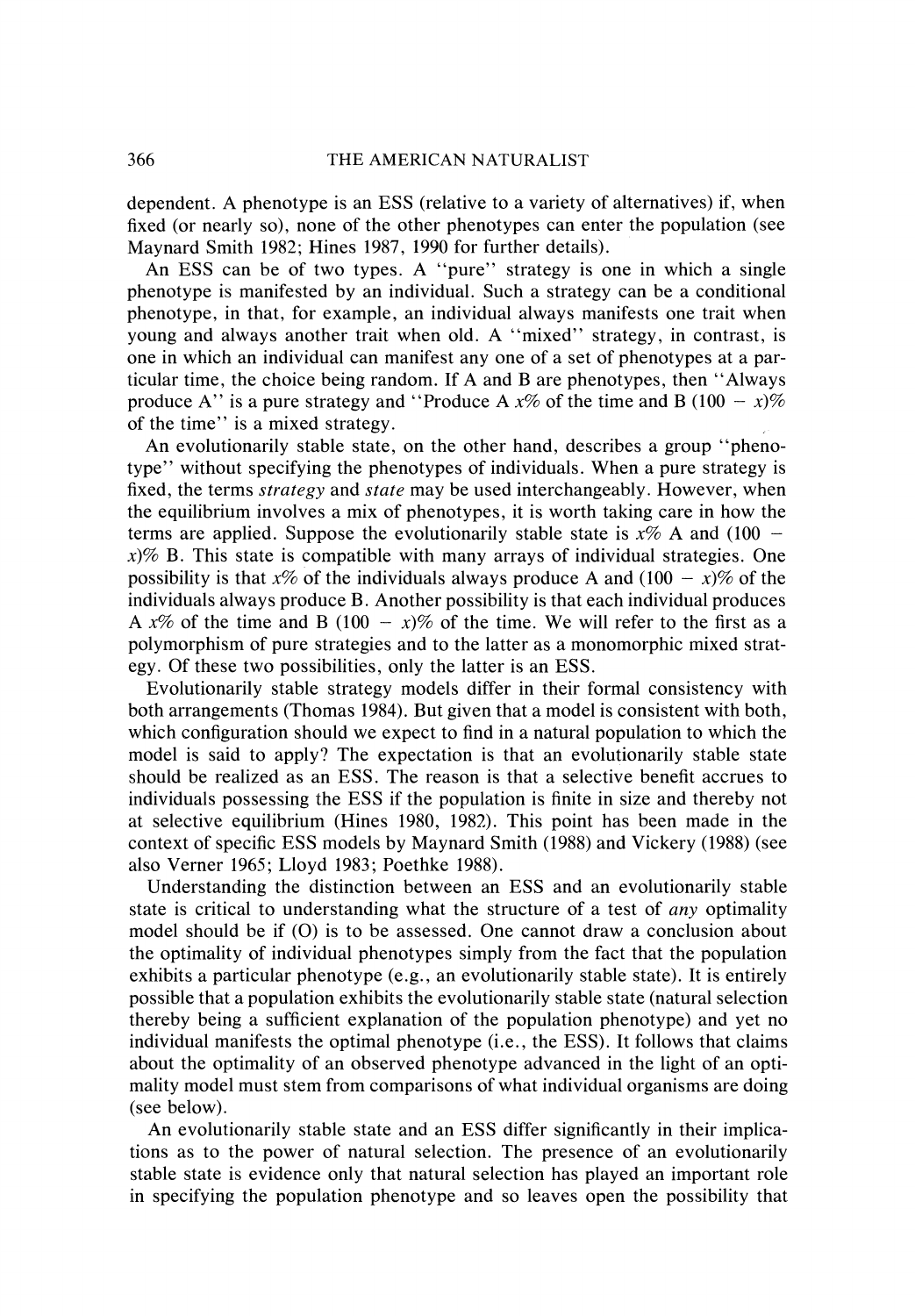dependent. A phenotype is an ESS (relative to a variety of alternatives) if, when fixed (or nearly so), none of the other phenotypes can enter the population (see Maynard Smith 1982; Hines 1987, 1990 for further details).

An ESS can be of two types. A "pure" strategy is one in which a single phenotype is manifested by an individual. Such a strategy can be a conditional phenotype, in that, for example, an individual always manifests one trait when young and always another trait when old. A "mixed" strategy, in contrast, is one in which an individual can manifest any one of a set of phenotypes at a particular time, the choice being random. If A and B are phenotypes, then "Always produce A" is a pure strategy and "Produce A  $x\%$  of the time and B (100 - x)% of the time" is a mixed strategy.

An evolutionarily stable state, on the other hand, describes a group "phenotype" without specifying the phenotypes of individuals. When a pure strategy is fixed, the terms *strategy* and *state* may be used interchangeably. However, when the equilibrium involves a mix of phenotypes, it is worth taking care in how the terms are applied. Suppose the evolutionarily stable state is  $x\%$  A and (100 **x)%** B. This state is compatible with many arrays of individual strategies. One possibility is that x% of the individuals always produce A and  $(100 - x)\%$  of the individuals always produce B. Another possibility is that each individual produces A  $x\%$  of the time and B (100 -  $x\%$  of the time. We will refer to the first as a polymorphism of pure strategies and to the latter as a monomorphic mixed strategy. Of these two possibilities, only the latter is an ESS.

Evolutionarily stable strategy models differ in their formal consistency with both arrangements (Thomas 1984). But given that a model is consistent with both, which configuration should we expect to find in a natural population to which the model is said to apply? The expectation is that an evolutionarily stable state should be realized as an ESS. The reason is that a selective benefit accrues to individuals possessing the ESS if the population is finite in size and thereby not at selective equilibrium (Hines 1980, 1982). This point has been made in the context of specific ESS models by Maynard Smith (1988) and Vickery (1988) (see also Verner 1965; Lloyd 1983; Poethke 1988).

Understanding the distinction between an ESS and an evolutionarily stable state is critical to understanding what the structure of a test of *any* optimality model should be if (0) is to be assessed. One cannot draw a conclusion about the optimality of individual phenotypes simply from the fact that the population exhibits a particular phenotype (e.g., an evolutionarily stable state). It is entirely possible that a population exhibits the evolutionarily stable state (natural selection thereby being a sufficient explanation of the population phenotype) and yet no individual manifests the optimal phenotype (i.e., the ESS). It follows that claims about the optimality of an observed phenotype advanced in the light of an optimality model must stem from comparisons of what individual organisms are doing (see below).

An evolutionarily stable state and an ESS differ significantly in their implications as to the power of natural selection. The presence of an evolutionarily stable state is evidence only that natural selection has played an important role in specifying the population phenotype and so leaves open the possibility that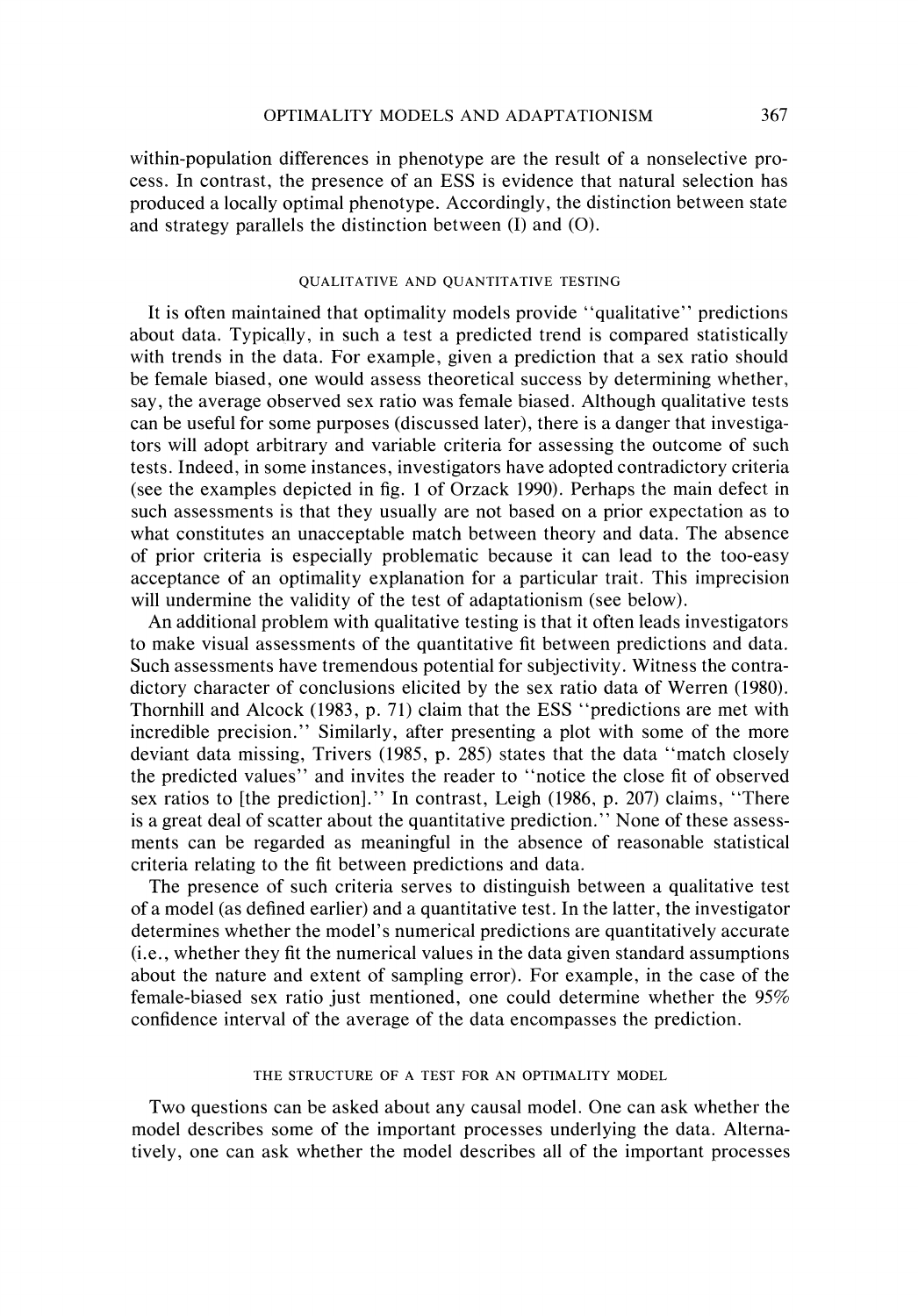within-population differences in phenotype are the result of a nonselective process. In contrast, the presence of an ESS is evidence that natural selection has produced a locally optimal phenotype. Accordingly, the distinction between state and strategy parallels the distinction between (I) and (0).

#### QUALITATIVE AND QUANTITATIVE TESTING

It is often maintained that optimality models provide "qualitative" predictions about data. Typically, in such a test a predicted trend is compared statistically with trends in the data. For example, given a prediction that a sex ratio should be female biased, one would assess theoretical success by determining whether, say, the average observed sex ratio was female biased. Although qualitative tests can be useful for some purposes (discussed later), there is a danger that investigators will adopt arbitrary and variable criteria for assessing the outcome of such tests. Indeed, in some instances, investigators have adopted contradictory criteria (see the examples depicted in fig. 1 of Orzack 1990). Perhaps the main defect in such assessments is that they usually are not based on a prior expectation as to what constitutes an unacceptable match between theory and data. The absence of prior criteria is especially problematic because it can lead to the too-easy acceptance of an optimality explanation for a particular trait. This imprecision will undermine the validity of the test of adaptationism (see below).

An additional problem with qualitative testing is that it often leads investigators to make visual assessments of the quantitative fit between predictions and data. Such assessments have tremendous potential for subjectivity. Witness the contradictory character of conclusions elicited by the sex ratio data of Werren (1980). Thornhill and Alcock (1983, p. 71) claim that the ESS "predictions are met with incredible precision." Similarly, after presenting a plot with some of the more deviant data missing, Trivers (1985, p. 285) states that the data "match closely the predicted values" and invites the reader to "notice the close fit of observed sex ratios to [the prediction]." In contrast, Leigh (1986, p. 207) claims, "There is a great deal of scatter about the quantitative prediction." None of these assessments can be regarded as meaningful in the absence of reasonable statistical criteria relating to the fit between predictions and data.

The presence of such criteria serves to distinguish between a qualitative test of a model (as defined earlier) and a quantitative test. In the latter, the investigator determines whether the model's numerical predictions are quantitatively accurate (i.e., whether they fit the numerical values in the data given standard assumptions about the nature and extent of sampling error). For example, in the case of the female-biased sex ratio just mentioned, one could determine whether the 95% confidence interval of the average of the data encompasses the prediction.

#### THE STRUCTURE OF A TEST FOR AN OPTIMALITY MODEL

Two questions can be asked about any causal model. One can ask whether the model describes some of the important processes underlying the data. Alternatively, one can ask whether the model describes all of the important processes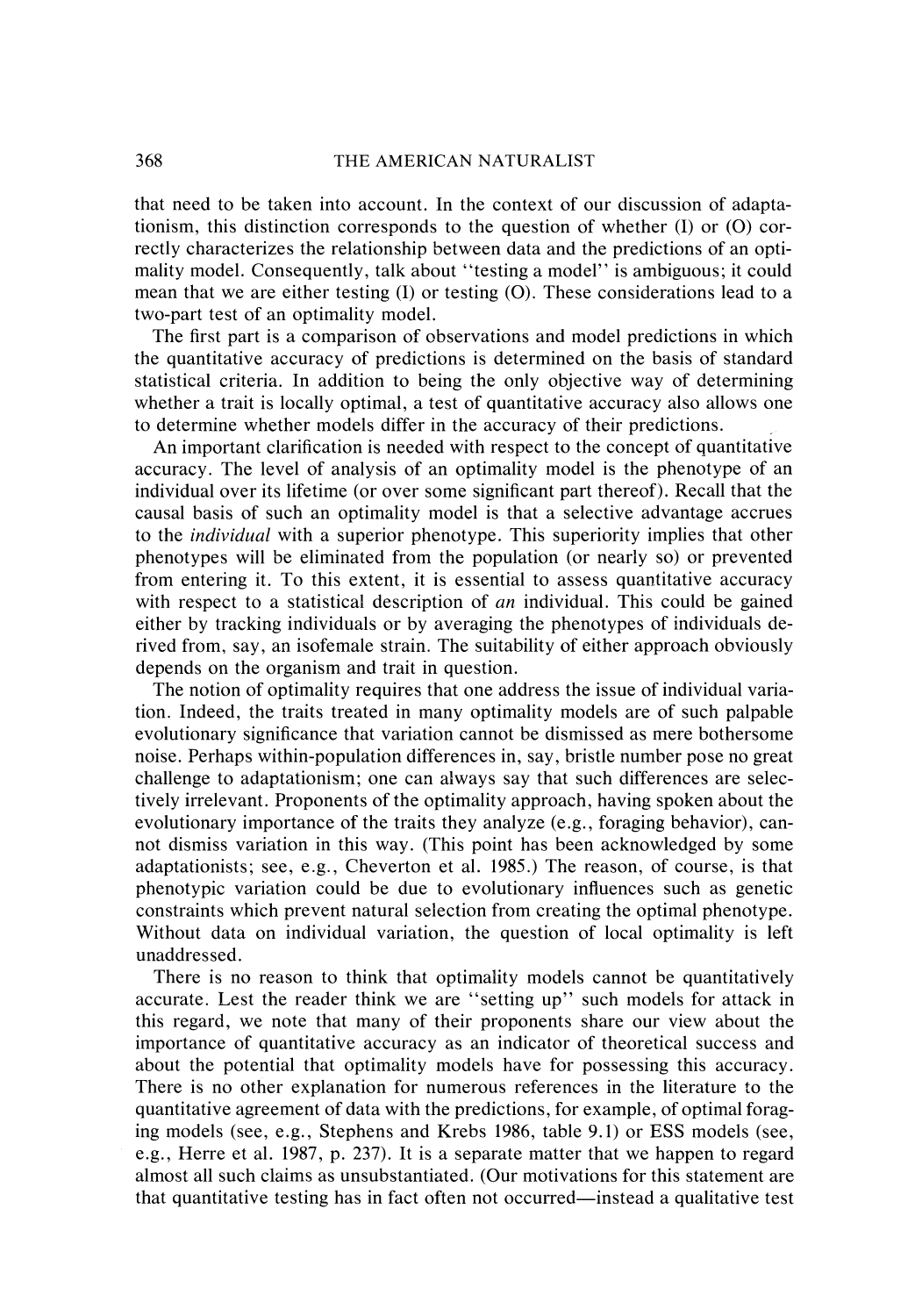that need to be taken into account. In the context of our discussion of adaptationism, this distinction corresponds to the question of whether  $(I)$  or  $(O)$  correctly characterizes the relationship between data and the predictions of an optimality model. Consequently, talk about "testing a model" is ambiguous; it could mean that we are either testing  $(I)$  or testing  $(O)$ . These considerations lead to a two-part test of an optimality model.

The first part is a comparison of observations and model predictions in which the quantitative accuracy of predictions is determined on the basis of standard statistical criteria. In addition to being the only objective way of determining whether a trait is locally optimal, a test of quantitative accuracy also allows one to determine whether models differ in the accuracy of their predictions.

An important clarification is needed with respect to the concept of quantitative accuracy. The level of analysis of an optimality model is the phenotype of an individual over its lifetime (or over some significant part thereof). Recall that the causal basis of such an optimality model is that a selective advantage accrues to the *individual* with a superior phenotype. This superiority implies that other phenotypes will be eliminated from the population (or nearly so) or prevented from entering it. To this extent, it is essential to assess quantitative accuracy with respect to a statistical description of *an* individual. This could be gained either by tracking individuals or by averaging the phenotypes of individuals derived from, say, an isofemale strain. The suitability of either approach obviously depends on the organism and trait in question.

The notion of optimality requires that one address the issue of individual variation. Indeed, the traits treated in many optimality models are of such palpable evolutionary significance that variation cannot be dismissed as mere bothersome noise. Perhaps within-population differences in, say, bristle number pose no great challenge to adaptationism; one can always say that such differences are selectively irrelevant. Proponents of the optimality approach, having spoken about the evolutionary importance of the traits they analyze (e.g., foraging behavior), cannot dismiss variation in this way. (This point has been acknowledged by some adaptationists; see, e.g., Cheverton et al. 1985.) The reason, of course, is that phenotypic variation could be due to evolutionary influences such as genetic constraints which prevent natural selection from creating the optimal phenotype. Without data on individual variation, the question of local optimality is left unaddressed.

There is no reason to think that optimality models cannot be quantitatively accurate. Lest the reader think we are "setting up" such models for attack in this regard, we note that many of their proponents share our view about the importance of quantitative accuracy as an indicator of theoretical success and about the potential that optimality models have for possessing this accuracy. There is no other explanation for numerous references in the literature to the quantitative agreement of data with the predictions, for example, of optimal foraging models (see, e.g., Stephens and Krebs 1986, table 9.1) or ESS models (see, e.g., Herre et al. 1987, p. 237). It is a separate matter that we happen to regard almost all such claims as unsubstantiated. (Our motivations for this statement are that quantitative testing has in fact often not occurred-instead a qualitative test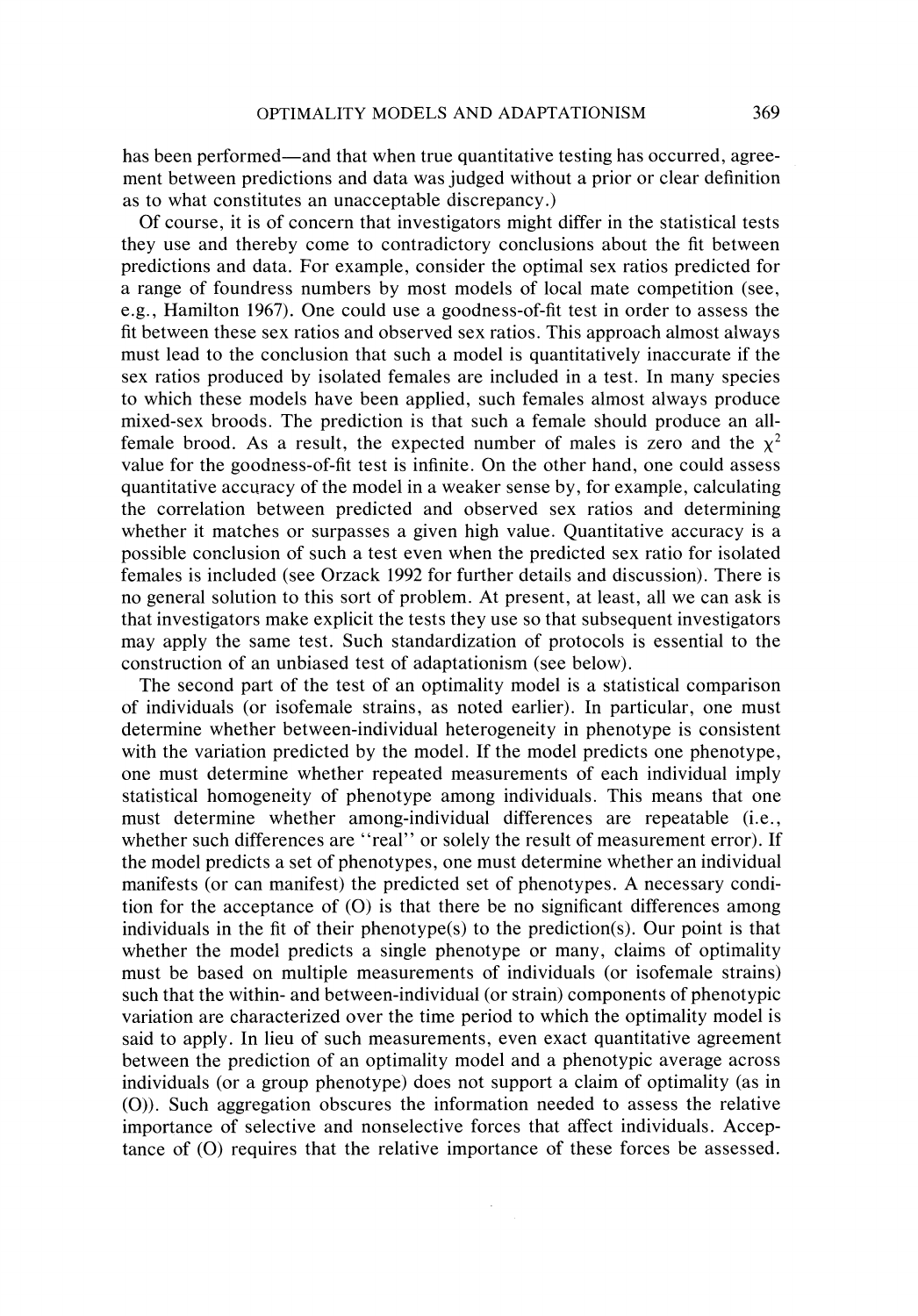has been performed—and that when true quantitative testing has occurred, agreement between predictions and data was judged without a prior or clear definition as to what constitutes an unacceptable discrepancy.)

Of course, it is of concern that investigators might differ in the statistical tests they use and thereby come to contradictory conclusions about the fit between predictions and data. For example, consider the optimal sex ratios predicted for a range of foundress numbers by most models of local mate competition (see, e.g., Hamilton 1967). One could use a goodness-of-fit test in order to assess the fit between these sex ratios and observed sex ratios. This approach almost always must lead to the conclusion that such a model is quantitatively inaccurate if the sex ratios produced by isolated females are included in a test. In many species to which these models have been applied, such females almost always produce mixed-sex broods. The prediction is that such a female should produce an allfemale brood. As a result, the expected number of males is zero and the  $\chi^2$ value for the goodness-of-fit test is infinite. On the other hand, one could assess quantitative accuracy of the model in a weaker sense by, for example, calculating the correlation between predicted and observed sex ratios and determining whether it matches or surpasses a given high value. Quantitative accuracy is a possible conclusion of such a test even when the predicted sex ratio for isolated females is included (see Orzack 1992 for further details and discussion). There is no general solution to this sort of problem. At present, at least, all we can ask is that investigators make explicit the tests they use so that subsequent investigators may apply the same test. Such standardization of protocols is essential to the construction of an unbiased test of adaptationism (see below).

The second part of the test of an optimality model is a statistical comparison of individuals (or isofemale strains, as noted earlier). In particular, one must determine whether between-individual heterogeneity in phenotype is consistent with the variation predicted by the model. If the model predicts one phenotype, one must determine whether repeated measurements of each individual imply statistical homogeneity of phenotype among individuals. This means that one must determine whether among-individual differences are repeatable (i.e., whether such differences are "real" or solely the result of measurement error). If the model predicts a set of phenotypes, one must determine whether an individual manifests (or can manifest) the predicted set of phenotypes. A necessary condition for the acceptance of (0) is that there be no significant differences among individuals in the fit of their phenotype(s) to the prediction(s). Our point is that whether the model predicts a single phenotype or many, claims of optimality must be based on multiple measurements of individuals (or isofemale strains) such that the within- and between-individual (or strain) components of phenotypic variation are characterized over the time period to which the optimality model is said to apply. In lieu of such measurements, even exact quantitative agreement between the prediction of an optimality model and a phenotypic average across individuals (or a group phenotype) does not support a claim of optimality (as in (0)). Such aggregation obscures the information needed to assess the relative importance of selective and nonselective forces that affect individuals. Acceptance of (0) requires that the relative importance of these forces be assessed.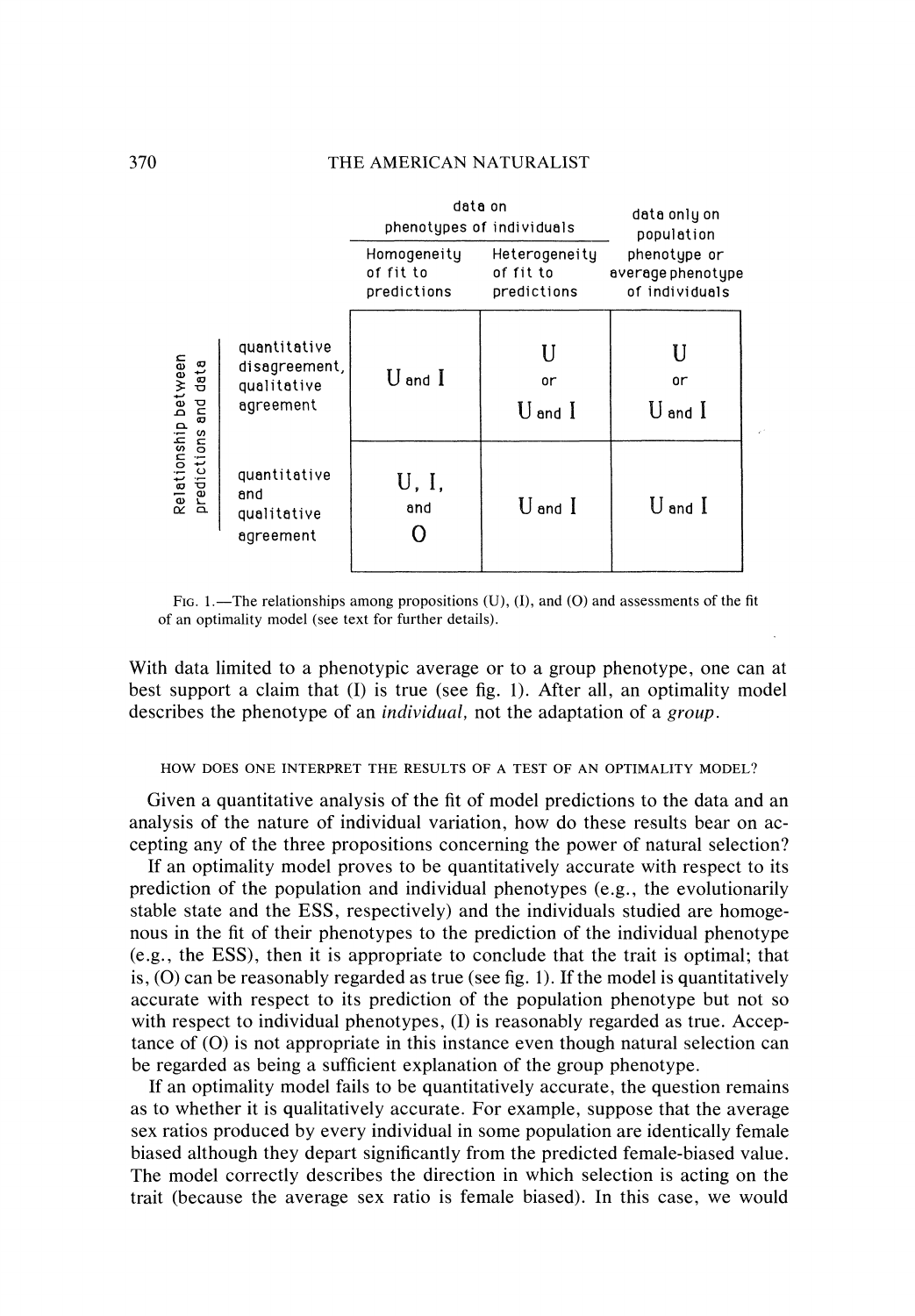|                                              |                                                           | data on<br>phenotypes of individuals    |                                           | data only on<br>population                          |  |
|----------------------------------------------|-----------------------------------------------------------|-----------------------------------------|-------------------------------------------|-----------------------------------------------------|--|
|                                              |                                                           | Homogeneity<br>of fit to<br>predictions | Heterogeneity<br>of fit to<br>predictions | phenotype or<br>average phenotype<br>of individuals |  |
| Relationship between<br>predictions and data | quantitative<br>disagreement,<br>qualitative<br>agreement | ${\rm U}$ and ${\rm I}$                 | or<br>$U$ and $I$                         | U<br>or<br>$U$ and $I$                              |  |
|                                              | quantitative<br>and<br>qualitative<br>agreement           | U, I,<br>and                            | $U$ and $I$                               | $U$ and $I$                                         |  |

FIG. 1.—The relationships among propositions  $(U)$ ,  $(I)$ , and  $(O)$  and assessments of the fit of an optimality model (see text for further details).

With data limited to a phenotypic average or to a group phenotype, one can at best support a claim that (I) is true (see fig. 1). After all, an optimality model describes the phenotype of an individual, not the adaptation of a group.

#### HOW DOES ONE INTERPRET THE RESULTS OF A TEST OF AN OPTIMALITY MODEL?

Given a quantitative analysis of the fit of model predictions to the data and an analysis of the nature of individual variation, how do these results bear on accepting any of the three propositions concerning the power of natural selection?

If an optimality model proves to be quantitatively accurate with respect to its prediction of the population and individual phenotypes (e.g., the evolutionarily stable state and the ESS, respectively) and the individuals studied are homogenous in the fit of their phenotypes to the prediction of the individual phenotype (e.g., the ESS), then it is appropriate to conclude that the trait is optimal; that is,  $(0)$  can be reasonably regarded as true (see fig. 1). If the model is quantitatively accurate with respect to its prediction of the population phenotype but not so with respect to individual phenotypes, (I) is reasonably regarded as true. Acceptance of  $(0)$  is not appropriate in this instance even though natural selection can be regarded as being a sufficient explanation of the group phenotype.

If an optimality model fails to be quantitatively accurate, the question remains as to whether it is qualitatively accurate. For example, suppose that the average sex ratios produced by every individual in some population are identically female biased although they depart significantly from the predicted female-biased value. The model correctly describes the direction in which selection is acting on the trait (because the average sex ratio is female biased). In this case, we would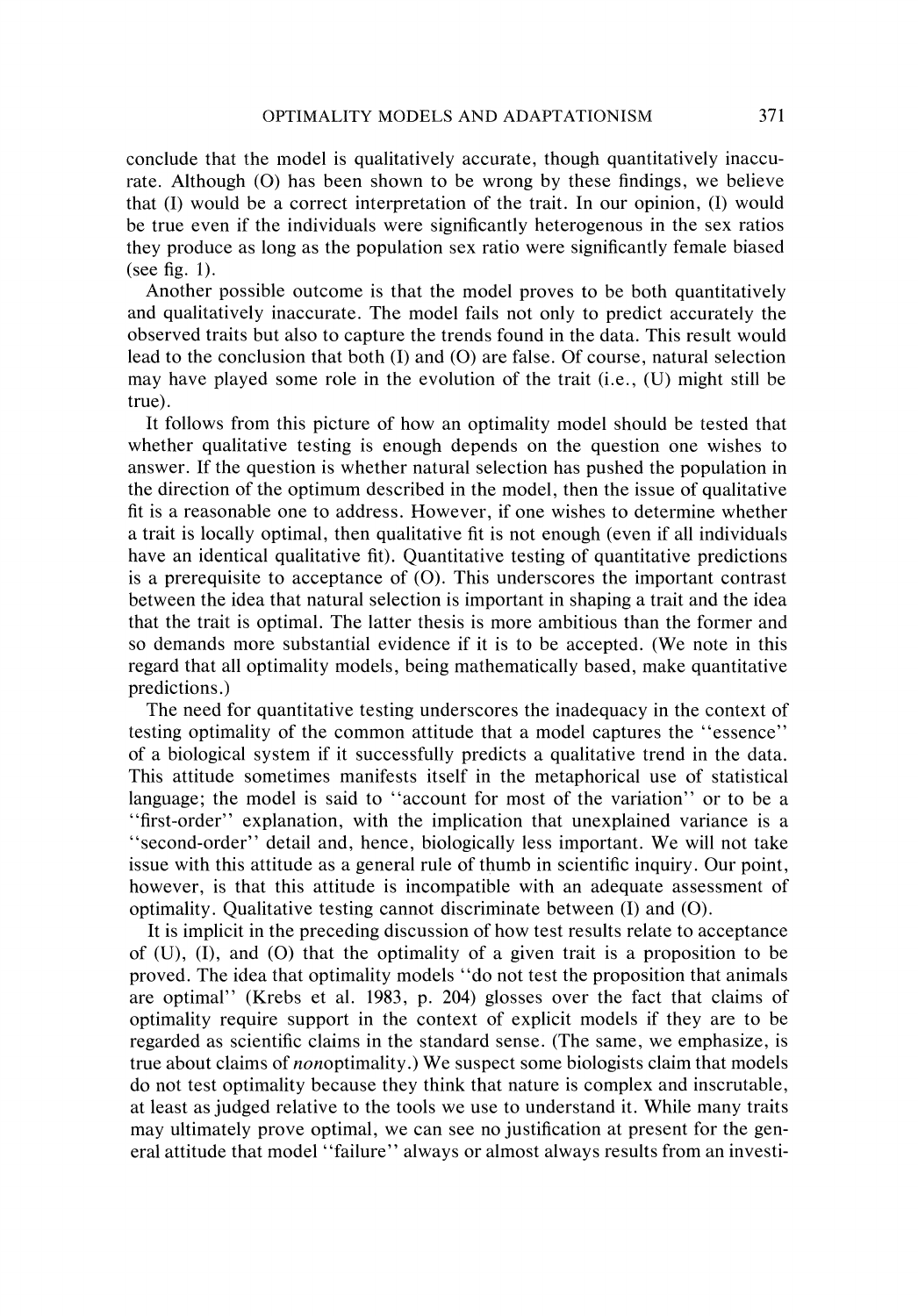conclude that the model is qualitatively accurate, though quantitatively inaccurate. Although (O) has been shown to be wrong by these findings, we believe that (I) would be a correct interpretation of the trait. In our opinion, (I) would be true even if the individuals were significantly heterogenous in the sex ratios they produce as long as the population sex ratio were significantly female biased (see fig. 1).

Another possible outcome is that the model proves to be both quantitatively and qualitatively inaccurate. The model fails not only to predict accurately the observed traits but also to capture the trends found in the data. This result would lead to the conclusion that both  $(I)$  and  $(O)$  are false. Of course, natural selection may have played some role in the evolution of the trait (i.e., (U) might still be true).

It follows from this picture of how an optimality model should be tested that whether qualitative testing is enough depends on the question one wishes to answer. If the question is whether natural selection has pushed the population in the direction of the optimum described in the model, then the issue of qualitative fit is a reasonable one to address. However, if one wishes to determine whether a trait is locally optimal, then qualitative fit is not enough (even if all individuals have an identical qualitative fit). Quantitative testing of quantitative predictions is a prerequisite to acceptance of (0). This underscores the important contrast between the idea that natural selection is important in shaping a trait and the idea that the trait is optimal. The latter thesis is more ambitious than the former and so demands more substantial evidence if it is to be accepted. (We note in this regard that all optimality models, being mathematically based, make quantitative predictions.)

The need for quantitative testing underscores the inadequacy in the context of testing optimality of the common attitude that a model captures the "essence" of a biological system if it successfully predicts a qualitative trend in the data. This attitude sometimes manifests itself in the metaphorical use of statistical language; the model is said to "account for most of the variation" or to be a "first-order" explanation, with the implication that unexplained variance is a "second-order" detail and, hence, biologically less important. We will not take issue with this attitude as a general rule of thumb in scientific inquiry. Our point, however, is that this attitude is incompatible with an adequate assessment of optimality. Qualitative testing cannot discriminate between (I) and (0).

It is implicit in the preceding discussion of how test results relate to acceptance of  $(U)$ ,  $(I)$ , and  $(I)$  that the optimality of a given trait is a proposition to be proved. The idea that optimality models "do not test the proposition that animals are optimal" (Krebs et al. 1983, p. 204) glosses over the fact that claims of optimality require support in the context of explicit models if they are to be regarded as scientific claims in the standard sense. (The same, we emphasize, is true about claims of nonoptimality.) We suspect some biologists claim that models do not test optimality because they think that nature is complex and inscrutable, at least as judged relative to the tools we use to understand it. While many traits may ultimately prove optimal, we can see no justification at present for the general attitude that model "failure" always or almost always results from an investi-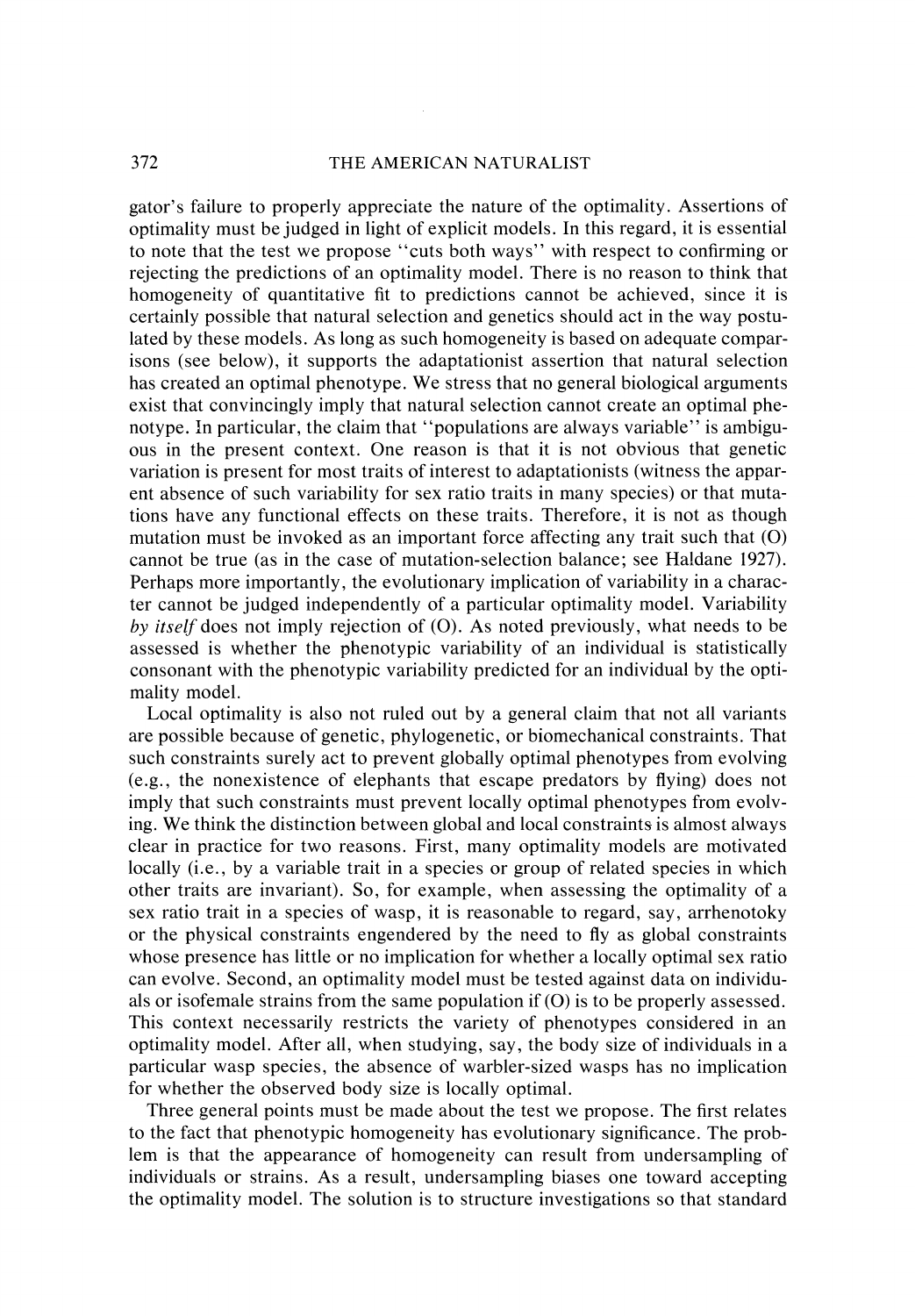# 372 THE AMERICAN NATURALIST

gator's failure to properly appreciate the nature of the optimality. Assertions of optimality must be judged in light of explicit models. In this regard, it is essential to note that the test we propose "cuts both ways" with respect to confirming or rejecting the predictions of an optimality model. There is no reason to think that homogeneity of quantitative fit to predictions cannot be achieved, since it is certainly possible that natural selection and genetics should act in the way postulated by these models. As long as such homogeneity is based on adequate comparisons (see below), it supports the adaptationist assertion that natural selection has created an optimal phenotype. We stress that no general biological arguments exist that convincingly imply that natural selection cannot create an optimal phenotype. In particular, the claim that "populations are always variable" is ambiguous in the present context. One reason is that it is not obvious that genetic variation is present for most traits of interest to adaptationists (witness the apparent absence of such variability for sex ratio traits in many species) or that mutations have any functional effects on these traits. Therefore, it is not as though mutation must be invoked as an important force affecting any trait such that (0) cannot be true (as in the case of mutation-selection balance; see Haldane 1927). Perhaps more importantly, the evolutionary implication of variability in a character cannot be judged independently of a particular optimality model. Variability by **itself** does not imply rejection of (0). As noted previously, what needs to be assessed is whether the phenotypic variability of an individual is statistically consonant with the phenotypic variability predicted for an individual by the optimality model.

Local optimality is also not ruled out by a general claim that not all variants are possible because of genetic, phylogenetic, or biomechanical constraints. That such constraints surely act to prevent globally optimal phenotypes from evolving (e.g., the nonexistence of elephants that escape predators by flying) does not imply that such constraints must prevent locally optimal phenotypes from evolving. We think the distinction between global and local constraints is almost always clear in practice for two reasons. First, many optimality models are motivated locally (i.e., by a variable trait in a species or group of related species in which other traits are invariant). So, for example, when assessing the optimality of a sex ratio trait in a species of wasp, it is reasonable to regard, say, arrhenotoky or the physical constraints engendered by the need to fly as global constraints whose presence has little or no implication for whether a locally optimal sex ratio can evolve. Second, an optimality model must be tested against data on individuals or isofemale strains from the same population if  $(O)$  is to be properly assessed. This context necessarily restricts the variety of phenotypes considered in an optimality model. After all, when studying, say, the body size of individuals in a particular wasp species, the absence of warbler-sized wasps has no implication for whether the observed body size is locally optimal.

Three general points must be made about the test we propose. The first relates to the fact that phenotypic homogeneity has evolutionary significance. The problem is that the appearance of homogeneity can result from undersampling of individuals or strains. As a result, undersampling biases one toward accepting the optimality model. The solution is to structure investigations so that standard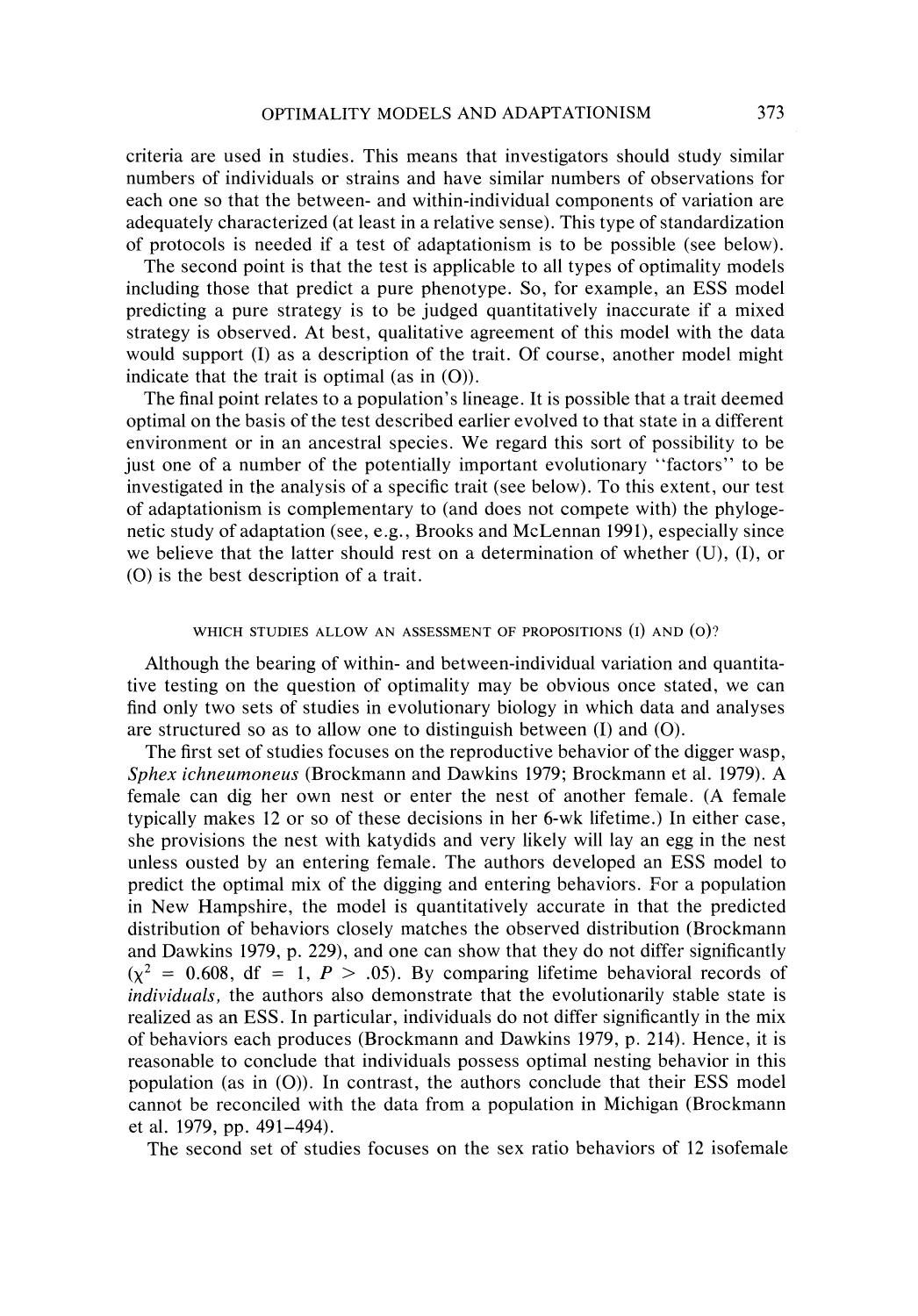criteria are used in studies. This means that investigators should study similar numbers of individuals or strains and have similar numbers of observations for each one so that the between- and within-individual components of variation are adequately characterized (at least in a relative sense). This type of standardization of protocols is needed if a test of adaptationism is to be possible (see below).

The second point is that the test is applicable to all types of optimality models including those that predict a pure phenotype. So, for example, an ESS model predicting a pure strategy is to be judged quantitatively inaccurate if a mixed strategy is observed. At best, qualitative agreement of this model with the data would support (I) as a description of the trait. Of course, another model might indicate that the trait is optimal (as in  $(O)$ ).

The final point relates to a population's lineage. It is possible that a trait deemed optimal on the basis of the test described earlier evolved to that state in a different environment or in an ancestral species. We regard this sort of possibility to be just one of a number of the potentially important evolutionary "factors" to be investigated in the analysis of a specific trait (see below). To this extent, our test of adaptationism is complementary to (and does not compete with) the phylogenetic study of adaptation (see, e.g., Brooks and McLennan 1991), especially since we believe that the latter should rest on a determination of whether (U), (I), or (0) is the best description of a trait.

#### WHICH STUDIES ALLOW AN ASSESSMENT OF PROPOSITIONS (I) AND (o)?

Although the bearing of within- and between-individual variation and quantitative testing on the question of optimality may be obvious once stated, we can find only two sets of studies in evolutionary biology in which data and analyses are structured so as to allow one to distinguish between (I) and (0).

The first set of studies focuses on the reproductive behavior of the digger wasp, *Sphex ichneumoneus* (Brockmann and Dawkins 1979; Brockmann et al. 1979). A female can dig her own nest or enter the nest of another female. (A female typically makes 12 or so of these decisions in her 6-wk lifetime.) In either case, she provisions the nest with katydids and very likely will lay an egg in the nest unless ousted by an entering female. The authors developed an ESS model to predict the optimal mix of the digging and entering behaviors. For a population in New Hampshire, the model is quantitatively accurate in that the predicted distribution of behaviors closely matches the observed distribution (Brockmann and Dawkins 1979, p. 229), and one can show that they do not differ significantly  $(\chi^2 = 0.608, df = 1, P > .05)$ . By comparing lifetime behavioral records of *individuals,* the authors also demonstrate that the evolutionarily stable state is realized as an ESS. In particular, individuals do not differ significantly in the mix of behaviors each produces (Brockmann and Dawkins 1979, p. 214). Hence, it is reasonable to conclude that individuals possess optimal nesting behavior in this population (as in (0)). In contrast, the authors conclude that their ESS model cannot be reconciled with the data from a population in Michigan (Brockmann et al. 1979, pp. 491-494).

The second set of studies focuses on the sex ratio behaviors of 12 isofemale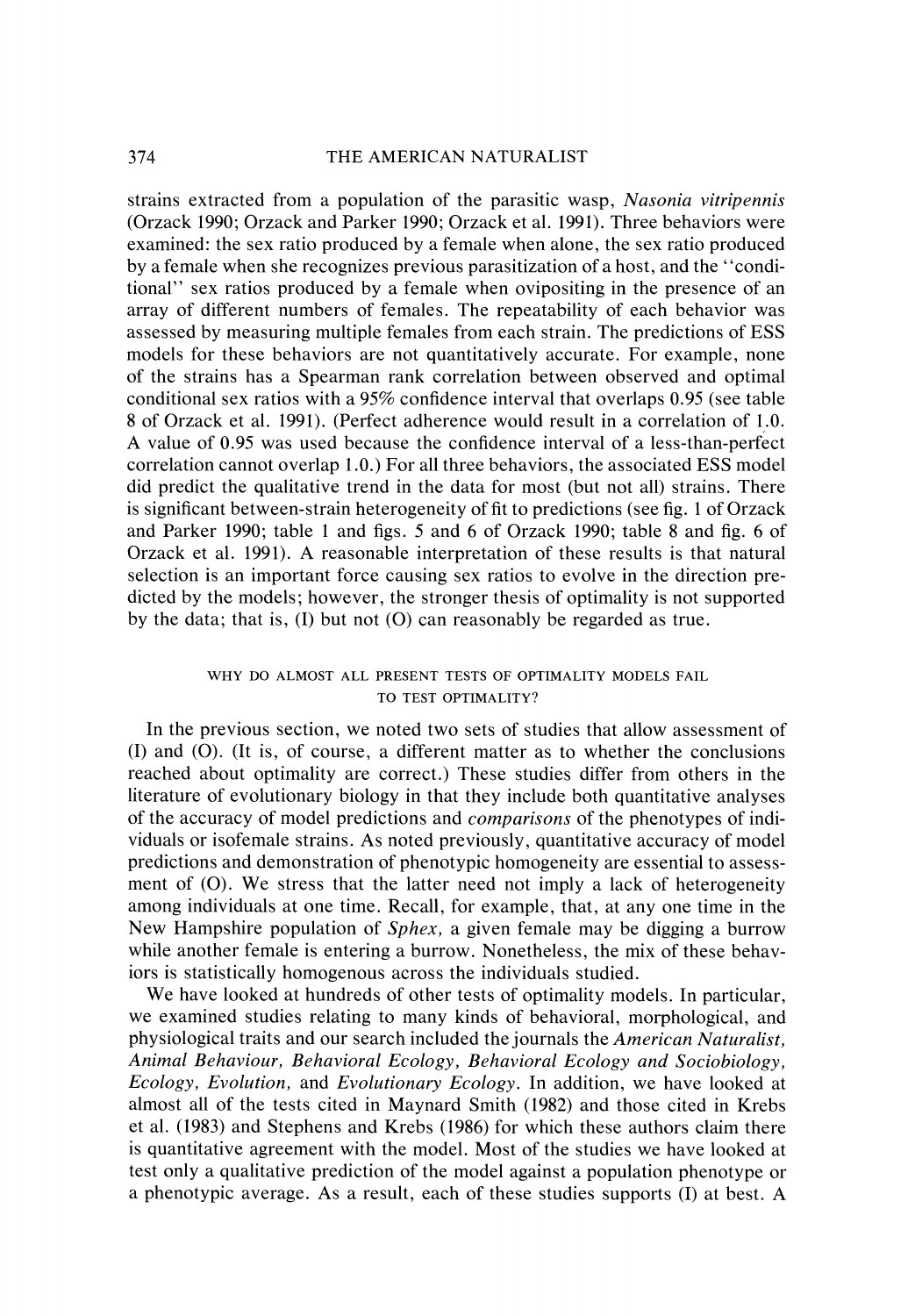# **374** THE AMERICAN NATURALIST

strains extracted from a population of the parasitic wasp, *Nasonia vitripennis*  (Orzack 1990; Orzack and Parker 1990; Orzack et al. 1991). Three behaviors were examined: the sex ratio produced by a female when alone, the sex ratio produced by a female when she recognizes previous parasitization of a host, and the "conditional" sex ratios produced by a female when ovipositing in the presence of an array of different numbers of females. The repeatability of each behavior was assessed by measuring multiple females from each strain. The predictions of ESS models for these behaviors are not quantitatively accurate. For example, none of the strains has a Spearman rank correlation between observed and optimal conditional sex ratios with a 95% confidence interval that overlaps 0.95 (see table 8 of Orzack et al. 1991). (Perfect adherence would result in a correlation of 1.0. A value of 0.95 was used because the confidence interval of a less-than-perfect correlation cannot overlap 1.0.) For all three behaviors, the associated ESS model did predict the qualitative trend in the data for most (but not all) strains. There is significant between-strain heterogeneity of fit to predictions (see fig. 1 of Orzack and Parker 1990; table 1 and figs. 5 and 6 of Orzack 1990; table 8 and fig. 6 of Orzack et al. 1991). A reasonable interpretation of these results is that natural selection is an important force causing sex ratios to evolve in the direction predicted by the models; however, the stronger thesis of optimality is not supported by the data; that is,  $(I)$  but not  $(O)$  can reasonably be regarded as true.

# WHY DO ALMOST ALL PRESENT TESTS OF OPTIMALITY MODELS FAIL TO TEST OPTIMALITY?

In the previous section, we noted two sets of studies that allow assessment of (I) and (0). (It is, of course, a different matter as to whether the conclusions reached about optimality are correct.) These studies differ from others in the literature of evolutionary biology in that they include both quantitative analyses of the accuracy of model predictions and *comparisons* of the phenotypes of individuals or isofemale strains. As noted previously, quantitative accuracy of model predictions and demonstration of phenotypic homogeneity are essential to assessment of (0). We stress that the latter need not imply a lack of heterogeneity among individuals at one time. Recall, for example, that, at any one time in the New Hampshire population of *Sphex,* a given female may be digging a burrow while another female is entering a burrow. Nonetheless, the mix of these behaviors is statistically homogenous across the individuals studied.

We have looked at hundreds of other tests of optimality models. In particular, we examined studies relating to many kinds of behavioral, morphological, and physiological traits and our search included the journals the *American Naturalist, Animal Behaviour, Behavioral Ecology, Behavioral Ecology and Sociobiology, Ecology, Evolution,* and *Evolutionary Ecology.* In addition, we have looked at almost all of the tests cited in Maynard Smith (1982) and those cited in Krebs et al. (1983) and Stephens and Krebs (1986) for which these authors claim there is quantitative agreement with the model. Most of the studies we have looked at test only a qualitative prediction of the model against a population phenotype or a phenotypic average. As a result, each of these studies supports (I) at best. A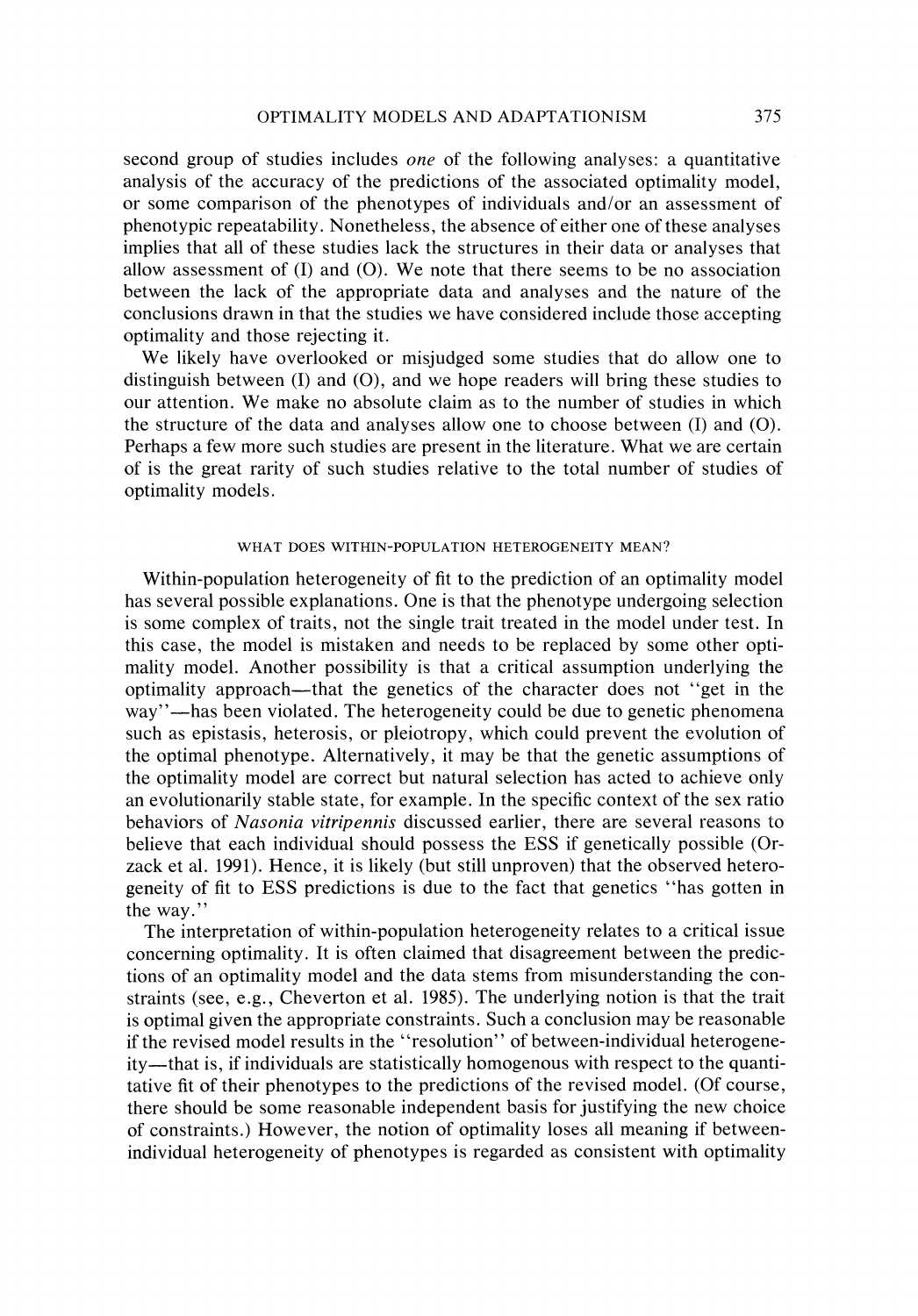second group of studies includes *one* of the following analyses: a quantitative analysis of the accuracy of the predictions of the associated optimality model, or some comparison of the phenotypes of individuals and/or an assessment of phenotypic repeatability. Nonetheless, the absence of either one of these analyses implies that all of these studies lack the structures in their data or analyses that allow assessment of  $(I)$  and  $(O)$ . We note that there seems to be no association between the lack of the appropriate data and analyses and the nature of the conclusions drawn in that the studies we have considered include those accepting optimality and those rejecting it.

We likely have overlooked or misjudged some studies that do allow one to distinguish between  $(I)$  and  $(O)$ , and we hope readers will bring these studies to our attention. We make no absolute claim as to the number of studies in which the structure of the data and analyses allow one to choose between (I) and (0). Perhaps a few more such studies are present in the literature. What we are certain of is the great rarity of such studies relative to the total number of studies of optimality models.

### WHAT DOES WITHIN-POPULATION HETEROGENEITY MEAN?

Within-population heterogeneity of fit to the prediction of an optimality model has several possible explanations. One is that the phenotype undergoing selection is some complex of traits, not the single trait treated in the model under test. In this case, the model is mistaken and needs to be replaced by some other optimality model, Another possibility is that a critical assumption underlying the optimality approach-that the genetics of the character does not "get in the way"-has been violated. The heterogeneity could be due to genetic phenomena such as epistasis, heterosis, or pleiotropy, which could prevent the evolution of the optimal phenotype. Alternatively, it may be that the genetic assumptions of the optimalily model are correct but natural selection has acted to achieve only an evolutionarily stable state, for example. In the specific context of the sex ratio behaviors of *Nasonia vitripennis* discussed earlier, there are several reasons to believe that each individual should possess the ESS if genetically possible (Orzack et al. 1991). Hence, it is likely (but still unproven) that the observed heterogeneity of fit to ESS predictions is due to the fact that genetics "has gotten in the way."

The interpretation of within-population heterogeneity relates to a critical issue concerning optimality. It is often claimed that disagreement between the predictions of an optimality model and the data stems from misunderstanding the constraints (see, e.g., Cheverton et al. 1985). The underlying notion is that the trait is optimal given the appropriate constraints. Such a conclusion may be reasonable if the revised model results in the "resolution" of between-individual heterogeneity-that is, if individuals are statistically homogenous with respect to the quantitative fit of their phenotypes to the predictions of the revised model. (Of course, there should be some reasonable independent basis for justifying the new choice of constraints.) However, the notion of optimality loses all meaning if betweenindividual heterogeneity of phenotypes is regarded as consistent with optimality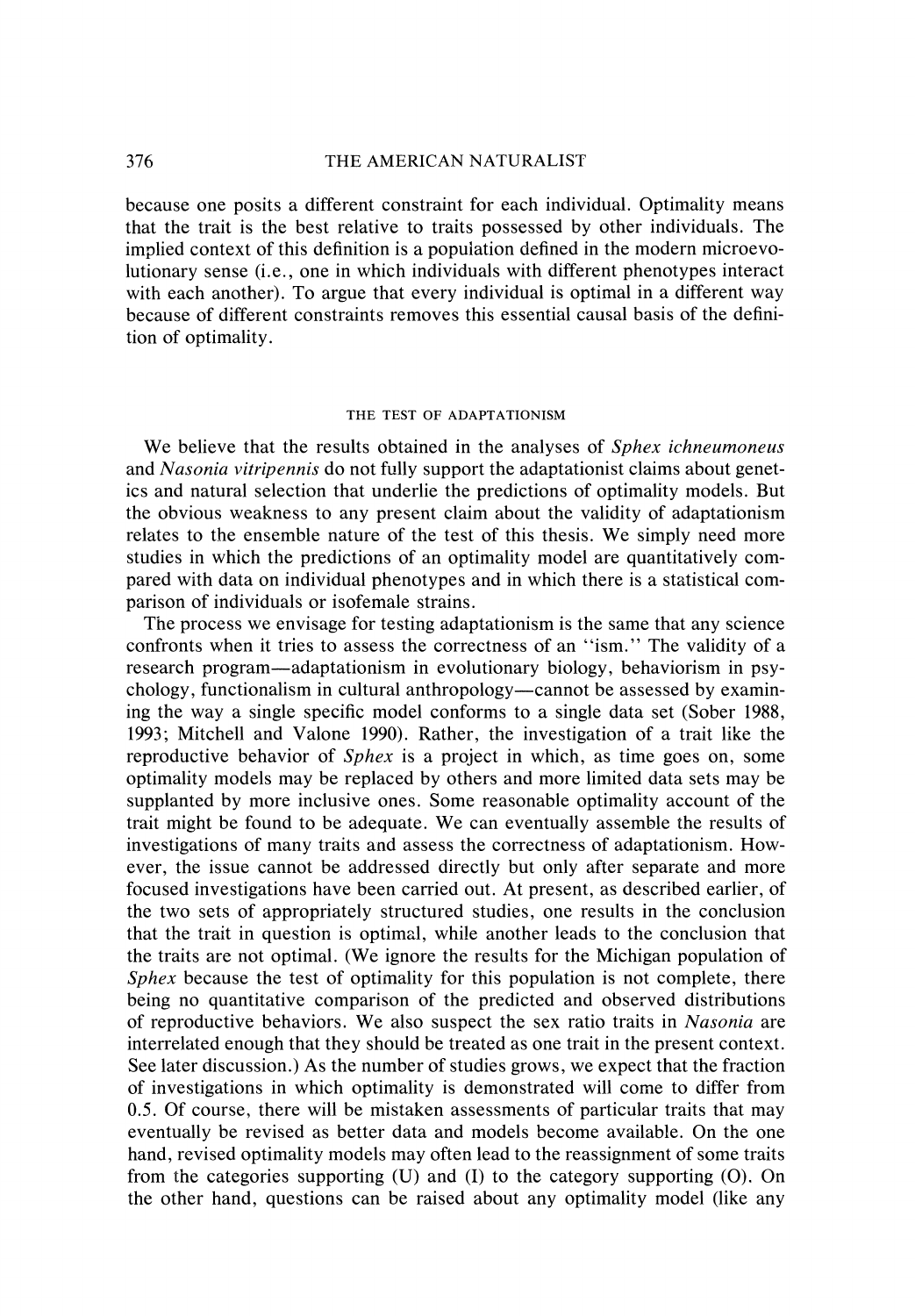#### 376 THE AMERICAN NATURALIST

because one posits a different constraint for each individual. Optimality means that the trait is the best relative to traits possessed by other individuals. The implied context of this definition is a population defined in the modern microevolutionary sense (*i.e.*, one in which individuals with different phenotypes interact with each another). To argue that every individual is optimal in a different way because of different constraints removes this essential causal basis of the definition of optimality.

#### THE TEST OF ADAPTATIONISM

We believe that the results obtained in the analyses of *Sphex ichneumoneus* and *Nasonia vitripennis* do not fully support the adaptationist claims about genetics and natural selection that underlie the predictions of optimality models. But the obvious weakness to any present claim about the validity of adaptationism relates to the ensemble nature of the test of this thesis. We simply need more studies in which the predictions of an optimality model are quantitatively compared with data on individual phenotypes and in which there is a statistical comparison of individuals or isofemale strains.

The process we envisage for testing adaptationism is the same that any science confronts when it tries to assess the correctness of an "ism." The validity of a research program—adaptationism in evolutionary biology, behaviorism in psychology, functionalism in cultural anthropology—cannot be assessed by examining the way a single specific model conforms to a single data set (Sober 1988, 1993; Mitchell and Valone 1990). Rather, the investigation of a trait like the reproductive behavior of *Sphex* is a project in which, as time goes on, some optimality models may be replaced by others and more limited data sets may be supplanted by more inclusive ones. Some reasonable optimality account of the trait might be found to be adequate. We can eventually assemble the results of investigations of many traits and assess the correctness of adaptationism. However, the issue cannot be addressed directly but only after separate and more focused investigations have been carried out. At present, as described earlier, of the two sets of appropriately structured studies, one results in the conclusion that the trait in question is optimal, while another leads to the conclusion that the traits are not optimal. (We ignore the results for the Michigan population of Sphex because the test of optimality for this population is not complete, there being no quantitative comparison of the predicted and observed distributions of reproductive behaviors. We also suspect the sex ratio traits in Nasonia are interrelated enough that they should be treated as one trait in the present context. See later discussion.) As the number of studies grows, we expect that the fraction of investigations in which optimality is demonstrated will come to differ from 0.5. Of course, there will be mistaken assessments of particular traits that may eventually be revised as better data and models become available. On the one hand, revised optimality models may often lead to the reassignment of some traits from the categories supporting  $(U)$  and  $(I)$  to the category supporting  $(O)$ . On the other hand, questions can be raised about any optimality model (like any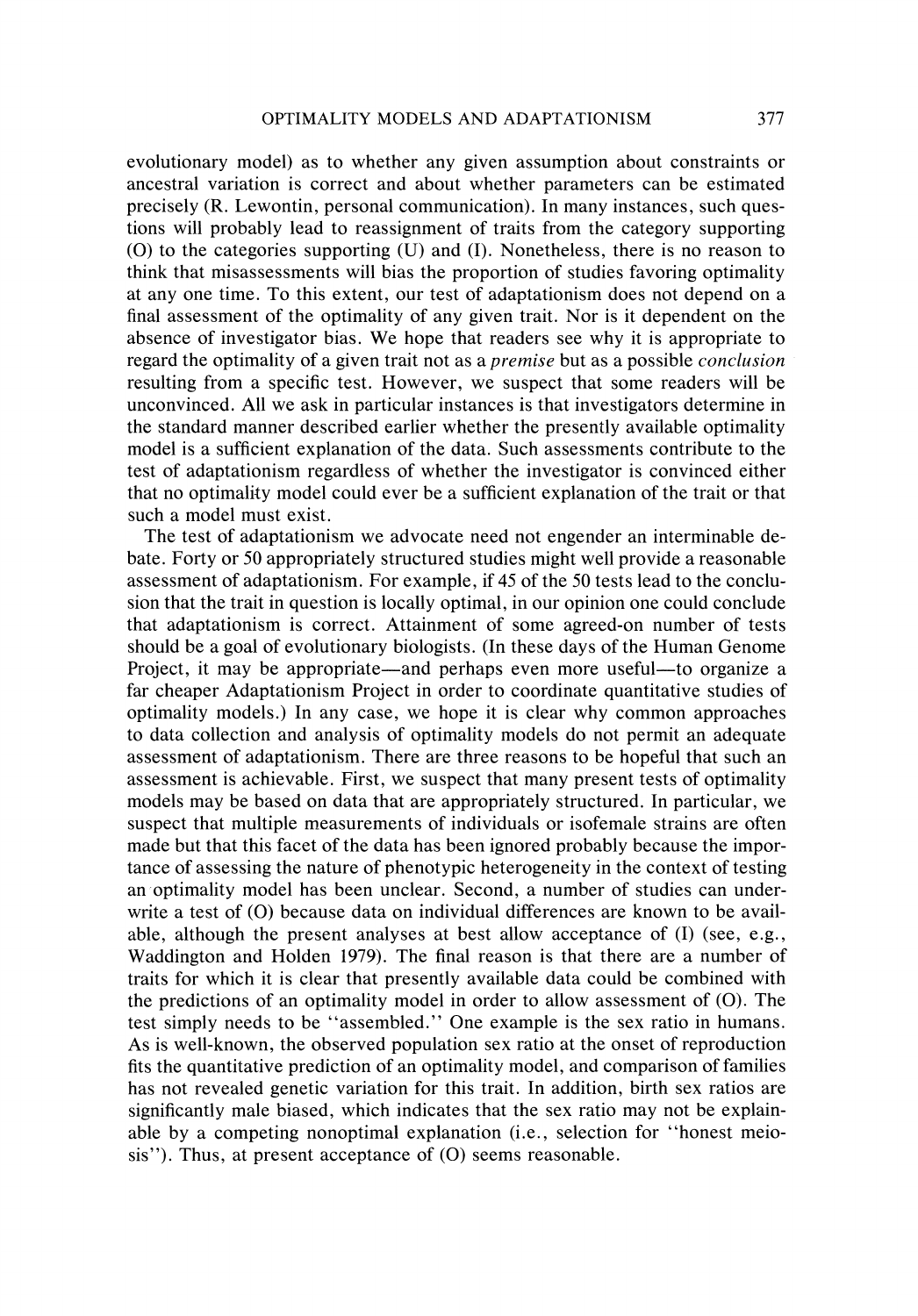evolutionary model) as to whether any given assumption about constraints or ancestral variation is correct and about whether parameters can be estimated precisely (R. Lewontin, personal communication). In many instances, such questions will probably lead to reassignment of traits from the category supporting (O) to the categories supporting  $(U)$  and  $(I)$ . Nonetheless, there is no reason to think that misassessments will bias the proportion of studies favoring optimality at any one time. To this extent, our test of adaptationism does not depend on a final assessment of the optimality of any given trait. Nor is it dependent on the absence of investigator bias. We hope that readers see why it is appropriate to regard the optimality of a given trait not as a *premise* but as a possible *conclusion* resulting from a specific test. However, we suspect that some readers will be unconvinced. All we ask in particular instances is that investigators determine in the standard manner described earlier whether the presently available optimality model is a sufficient explanation of the data. Such assessments contribute to the test of adaptationism regardless of whether the investigator is convinced either that no optimality model could ever be a sufficient explanation of the trait or that such a model must exist.

The test of adaptationism we advocate need not engender an interminable debate. Forty or *50* appropriately structured studies might well provide a reasonable assessment of adaptationism. For example, if 45 of the *50* tests lead to the conclusion that the trait in question is locally optimal, in our opinion one could conclude that adaptationism is correct. Attainment of some agreed-on number of tests should be a goal of evolutionary biologists. (In these days of the Human Genome Project, it may be appropriate—and perhaps even more useful—to organize a far cheaper Adaptationism Project in order to coordinate quantitative studies of optimality models.) In any case, we hope it is clear why common approaches to data collection and analysis of optimality models do not permit an adequate assessment of adaptationism. There are three reasons to be hopeful that such an assessment is achievable. First, we suspect that many present tests of optimality models may be based on data that are appropriately structured. In particular, we suspect that multiple measurements of individuals or isofemale strains are often made but that this facet of the data has been ignored probably because the importance of assessing the nature of phenotypic heterogeneity in the context of testing an optimality model has been unclear. Second, a number of studies can underwrite a test of (0) because data on individual differences are known to be available, although the present analyses at best allow acceptance of (I) (see, e.g., Waddington and Holden 1979). The final reason is that there are a number of traits for which it is clear that presently available data could be combined with the predictions of an optimality model in order to allow assessment of (0). The test simply needs to be "assembled." One example is the sex ratio in humans. As is well-known, the observed population sex ratio at the onset of reproduction fits the quantitative prediction of an optimality model, and comparison of families has not revealed genetic variation for this trait. In addition, birth sex ratios are significantly male biased, which indicates that the sex ratio may not be explainable by a competing nonoptimal explanation (i.e., selection for "honest meiosis"). Thus, at present acceptance of (O) seems reasonable.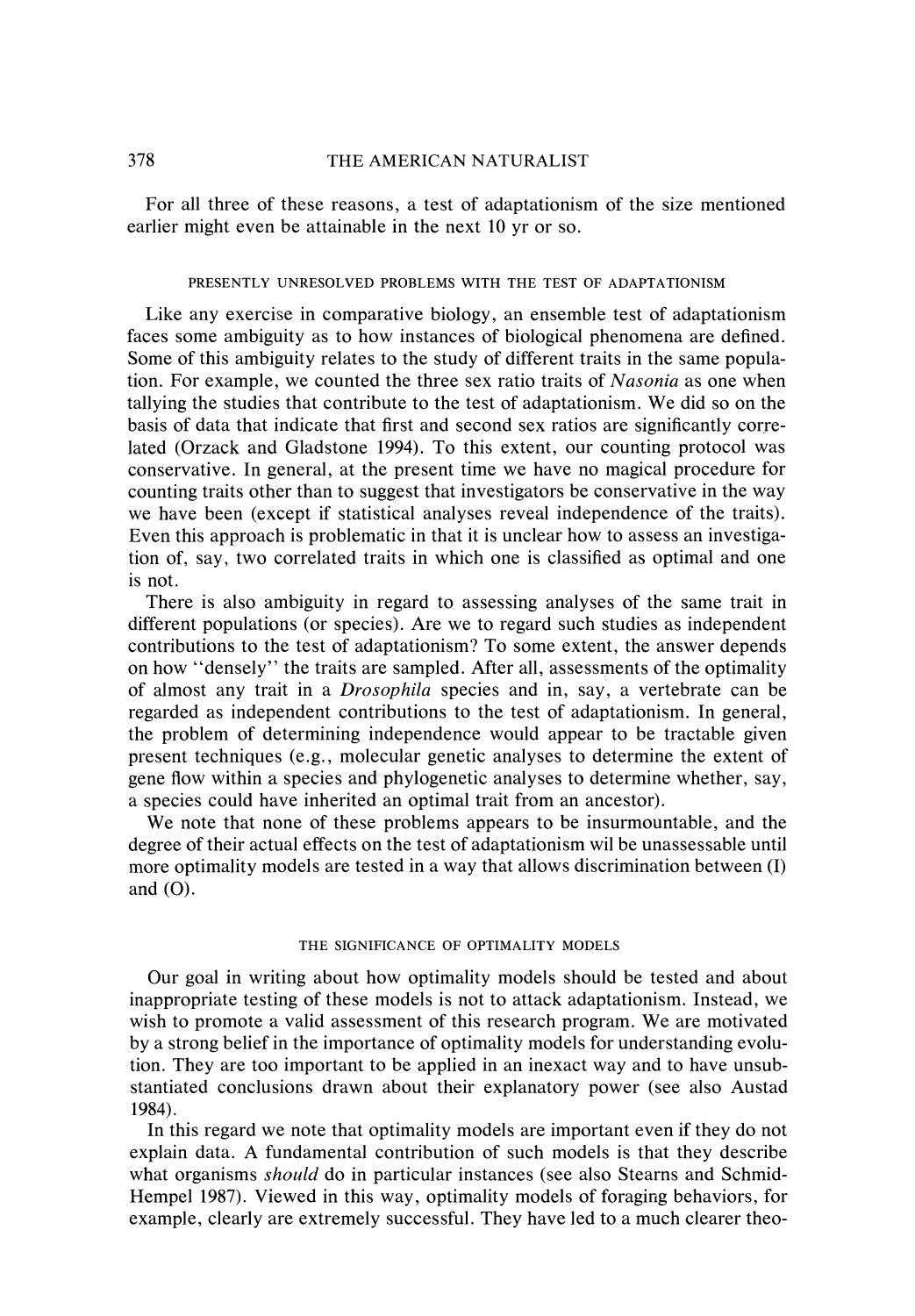For all three of these reasons, a test of adaptationism of the size mentioned earlier might even be attainable in the next 10 yr or so.

## PRESENTLY UNRESOLVED PROBLEMS WITH THE TEST OF ADAPTATIONISM

Like any exercise in comparative biology, an ensemble test of adaptationism faces some ambiguity as to how instances of biological phenomena are defined. Some of this ambiguity relates to the study of different traits in the same population. For example, we counted the three sex ratio traits of *Nasonia* as one when tallying the studies that contribute to the test of adaptationism. We did so on the basis of data that indicate that first and second sex ratios are significantly correlated (Orzack and Gladstone 1994). To this extent, our counting protocol was conservative. In general, at the present time we have no magical procedure for counting traits other than to suggest that investigators be conservative in the way we have been (except if statistical analyses reveal independence of the traits). Even this approach is problematic in that it is unclear how to assess an investigation of, say, two correlated traits in which one is classified as optimal and one is not.

There is also ambiguity in regard to assessing analyses of the same trait in different populations (or species). Are we to regard such studies as independent contributions to the test of adaptationism? To some extent, the answer depends on how "densely" the traits are sampled. After all, assessments of the optimality of almost any trait in a *Drosophila* species and in, say, a vertebrate can be regarded as independent contributions to the test of adaptationism. In general, the problem of determining independence would appear to be tractable given present techniques (e.g., molecular genetic analyses to determine the extent of gene flow within a species and phylogenetic analyses to determine whether, say, a species could have inherited an optimal trait from an ancestor).

We note that none of these problems appears to be insurmountable, and the degree of their actual effects on the test of adaptationism wil be unassessable until more optimality models are tested in a way that allows discrimination between (I) and  $(O)$ .

### THE SIGNIFICANCE OF OPTIMALITY MODELS

Our goal in writing about how optimality models should be tested and about inappropriate testing of these models is not to attack adaptationism. Instead, we wish to promote a valid assessment of this research program. We are motivated by a strong belief in the importance of optimality models for understanding evolution. They are too important to be applied in an inexact way and to have unsubstantiated conclusions drawn about their explanatory power (see also Austad 1984).

In this regard we note that optimality models are important even if they do not explain data. A fundamental contribution of such models is that they describe what organisms *should* do in particular instances (see also Stearns and Schmid-Hempel 1987). Viewed in this way, optimality models of foraging behaviors, for example, clearly are extremely successful. They have led to a much clearer theo-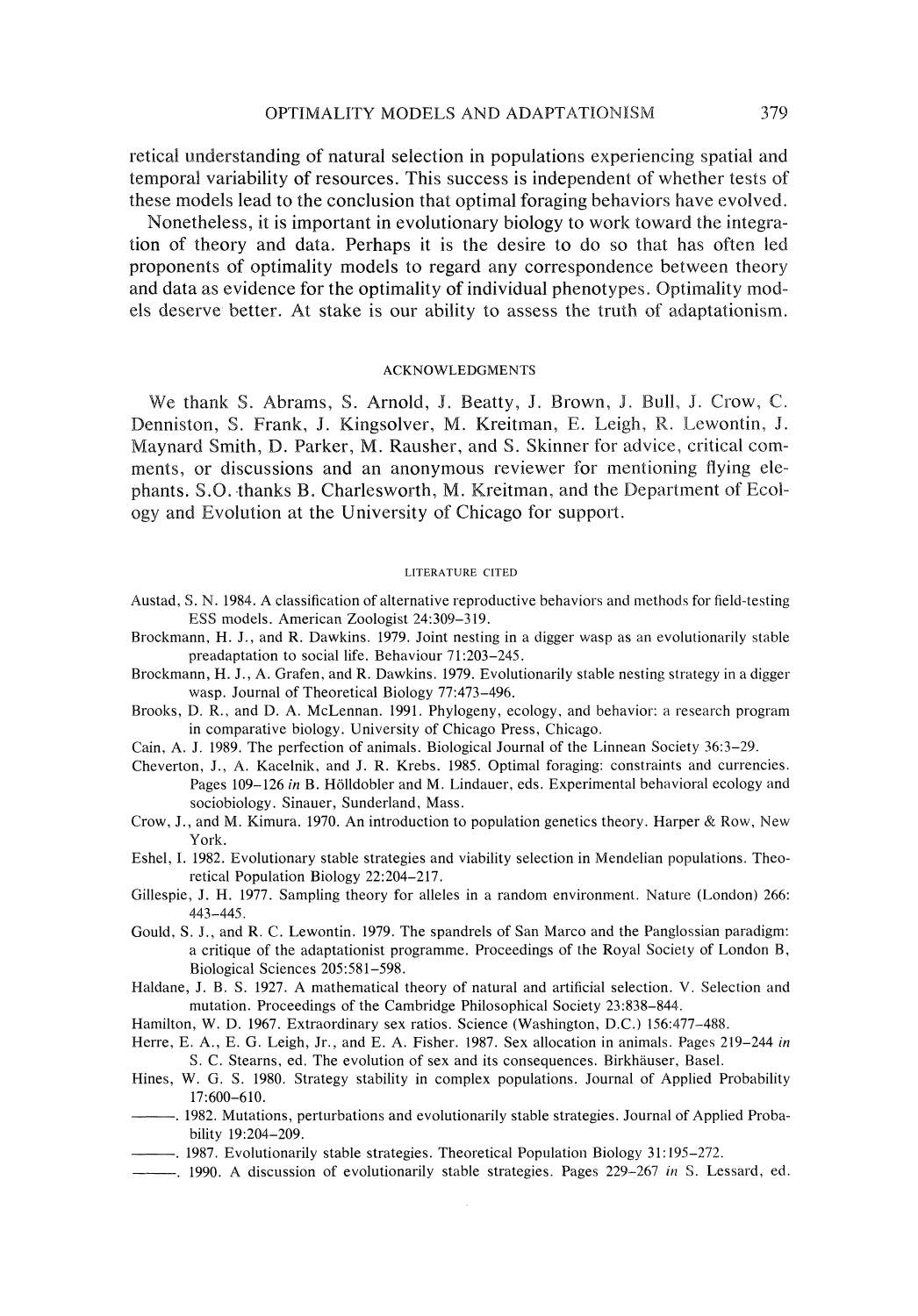retical understanding of natural selection in populations experiencing spatial and temporal variability of resources. This success is independent of whether tests of these models lead to the conclusion that optimal foraging behaviors have evolved.

Nonetheless, it is important in evolutionary biology to work toward the integration sf theory and data. Perhaps it is the desire to do so that has often led proponents of optimality models to regard any correspondence between theory and data as evidence for the optimality of individual phenotypes, Optirnality models deserve better. At stake is our ability to assess the truth of adaptationism.

#### ACKNOWLEDGMENTS

We thank S. Abrams, S. Arnold, J. Beatty, J. Brown, J. Bull, J. Crow, C. Dennistsn. S. Frank, J. Kingsolver, M.Kreitman, E. Leigh. **W.** Lewontin. 9. Maynard Smith, D. Parker, M. Rausher, and S. Skinner for advice, critical comments, or discussions and an anonymous reviewer for mentioning flying elephants. S.O.-thanksB. Charlesworth, M. Kreitman, and the Department of Ecology and Evolution at the University of Chicago for support.

#### LITERATURE CITED

- Austad, S. N. 1984. A classification of alternative reproductive behaviors and methods for field-testing ESS models. American Zoologist 24:309-319.
- Brockmann. H. J., and R. Dawkins. 1979. Joint nesting in a digger wasp as an evolutionarily stable preadaptation to social life. Behaviour 71:203-245.
- Brockmann, H. J., A. Grafen, and R. Dawkins. 1979. Evolutionarily stable nesting strategy in a digger wasp. Journal of Theoretical Biology 77:473-496.
- Brooks. D. R.. and D. A. McLennan. 1991. Phylogeny, ecology, and behavior: a research program in comparative biology. University of Chicago Press, Chicago.
- Cain. A. J. 1989. The perfection of animals. Biological Journal of the Linnean Society 36:3-29.
- Cheverton. J.. A. Kacelnik, and J. R. Krebs. 1985. Optimal foraging: constraints and currencies. Pages 109-126 in B. Hölldobler and M. Lindauer, eds. Experimental behavioral ecology and sociobiology. Sinauer, Sunderland. Mass.
- Crow, J., and M. Kimura. 1970. An introduction to population genetics theory. Harper & Row, New York.
- Eshel. 1. 1982. Evolutionary stable strategies and viability selection in Mendelian populations. Theoretical Population Biology 22:204-217.
- Gillespie. J. H. 1977. Sampling theory for alleles in a random environment. Nature (London) 266: 443-445.
- Gould, S. **Y.,** and R. C. Lewontin. 1979. The spandrels of San Marco and the Panglossian paradigm: a critique of the adaptationist programme. Proceedings of the Royal Society of London B, Biological Sciences 205:581-598.
- Haldane, J. B. S. 1927. A mathematical theory of natural and artificial selection. V. Selection and mutation. Proceedings of the Cambridge Philosophical Society 23:838-844..
- Hamilton, W. D. 1967. Extraordinary sex ratios. Science (Washington. D.C.) 156:477-488.
- Herre, E. A., E. G. Leigh, Jr., and E. A. Fisher. 1987. Sex allocation in animals. Pages 219–244 in S. C. Stearns, ed. The evolution of sex and its consequences. Birkhauser. Basel.
- Hines, W. 6.S. 1980. Strategy stability in complex populations. Journal of Applied Probability 17:600-610.
- 1982. Mutations, perturbations and evolutionarily stable strategies. Journal of Applied Probability 19:204-209.
- -. 1987. Evolutionarily stable strategies. Theoretical Population Biology 31: 195-272.
- -- , 1990. A discussion of evolutionarily stable strategies. Pages 229-267 in S. Lessard, ed.